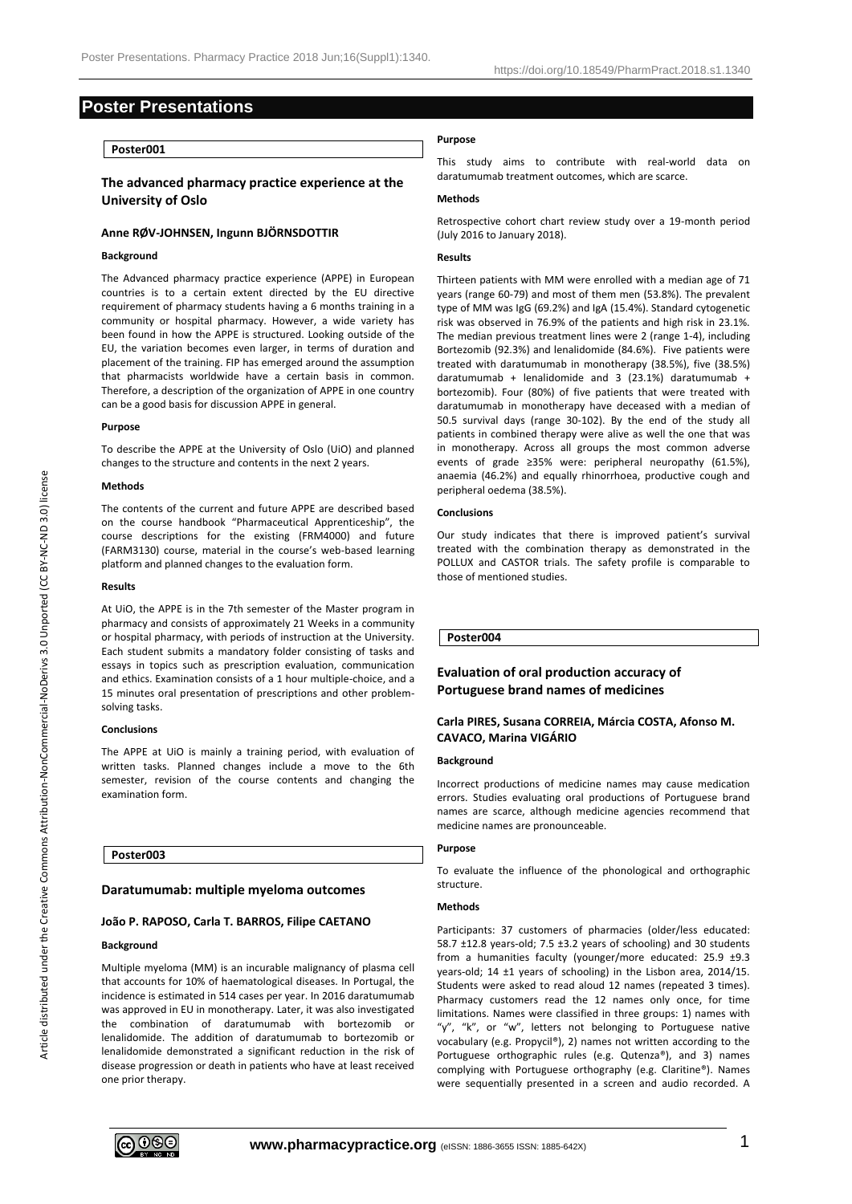# **Poster Presentations**

# **Poster001**

# **The advanced pharmacy practice experience at the University of Oslo**

# **Anne RØV-JOHNSEN, Ingunn BJÖRNSDOTTIR**

# **Background**

The Advanced pharmacy practice experience (APPE) in European countries is to a certain extent directed by the EU directive requirement of pharmacy students having a 6 months training in a community or hospital pharmacy. However, a wide variety has been found in how the APPE is structured. Looking outside of the EU, the variation becomes even larger, in terms of duration and placement of the training. FIP has emerged around the assumption that pharmacists worldwide have a certain basis in common. Therefore, a description of the organization of APPE in one country can be a good basis for discussion APPE in general.

#### **Purpose**

To describe the APPE at the University of Oslo (UiO) and planned changes to the structure and contents in the next 2 years.

### **Methods**

The contents of the current and future APPE are described based on the course handbook "Pharmaceutical Apprenticeship", the course descriptions for the existing (FRM4000) and future (FARM3130) course, material in the course's web-based learning platform and planned changes to the evaluation form.

## **Results**

At UiO, the APPE is in the 7th semester of the Master program in pharmacy and consists of approximately 21 Weeks in a community or hospital pharmacy, with periods of instruction at the University. Each student submits a mandatory folder consisting of tasks and essays in topics such as prescription evaluation, communication and ethics. Examination consists of a 1 hour multiple-choice, and a 15 minutes oral presentation of prescriptions and other problemsolving tasks.

### **Conclusions**

The APPE at UiO is mainly a training period, with evaluation of written tasks. Planned changes include a move to the 6th semester, revision of the course contents and changing the examination form.

## **Poster003**

### **Daratumumab: multiple myeloma outcomes**

### **João P. RAPOSO, Carla T. BARROS, Filipe CAETANO**

### **Background**

Multiple myeloma (MM) is an incurable malignancy of plasma cell that accounts for 10% of haematological diseases. In Portugal, the incidence is estimated in 514 cases per year. In 2016 daratumumab was approved in EU in monotherapy. Later, it was also investigated the combination of daratumumab with bortezomib or lenalidomide. The addition of daratumumab to bortezomib or lenalidomide demonstrated a significant reduction in the risk of disease progression or death in patients who have at least received one prior therapy.

# **Purpose**

This study aims to contribute with real-world data on daratumumab treatment outcomes, which are scarce.

# **Methods**

Retrospective cohort chart review study over a 19-month period (July 2016 to January 2018).

# **Results**

Thirteen patients with MM were enrolled with a median age of 71 years (range 60-79) and most of them men (53.8%). The prevalent type of MM was IgG (69.2%) and IgA (15.4%). Standard cytogenetic risk was observed in 76.9% of the patients and high risk in 23.1%. The median previous treatment lines were 2 (range 1-4), including Bortezomib (92.3%) and lenalidomide (84.6%). Five patients were treated with daratumumab in monotherapy (38.5%), five (38.5%) daratumumab + lenalidomide and 3 (23.1%) daratumumab + bortezomib). Four (80%) of five patients that were treated with daratumumab in monotherapy have deceased with a median of 50.5 survival days (range 30-102). By the end of the study all patients in combined therapy were alive as well the one that was in monotherapy. Across all groups the most common adverse events of grade ≥35% were: peripheral neuropathy (61.5%), anaemia (46.2%) and equally rhinorrhoea, productive cough and peripheral oedema (38.5%).

### **Conclusions**

Our study indicates that there is improved patient's survival treated with the combination therapy as demonstrated in the POLLUX and CASTOR trials. The safety profile is comparable to those of mentioned studies.

# **Poster004**

# **Evaluation of oral production accuracy of Portuguese brand names of medicines**

# **Carla PIRES, Susana CORREIA, Márcia COSTA, Afonso M. CAVACO, Marina VIGÁRIO**

#### **Background**

Incorrect productions of medicine names may cause medication errors. Studies evaluating oral productions of Portuguese brand names are scarce, although medicine agencies recommend that medicine names are pronounceable.

# **Purpose**

To evaluate the influence of the phonological and orthographic structure.

# **Methods**

Participants: 37 customers of pharmacies (older/less educated: 58.7 ±12.8 years-old; 7.5 ±3.2 years of schooling) and 30 students from a humanities faculty (younger/more educated: 25.9 ±9.3 years-old; 14 ±1 years of schooling) in the Lisbon area, 2014/15. Students were asked to read aloud 12 names (repeated 3 times). Pharmacy customers read the 12 names only once, for time limitations. Names were classified in three groups: 1) names with "y", "k", or "w", letters not belonging to Portuguese native vocabulary (e.g. Propycil®), 2) names not written according to the Portuguese orthographic rules (e.g. Qutenza®), and 3) names complying with Portuguese orthography (e.g. Claritine®). Names were sequentially presented in a screen and audio recorded. A

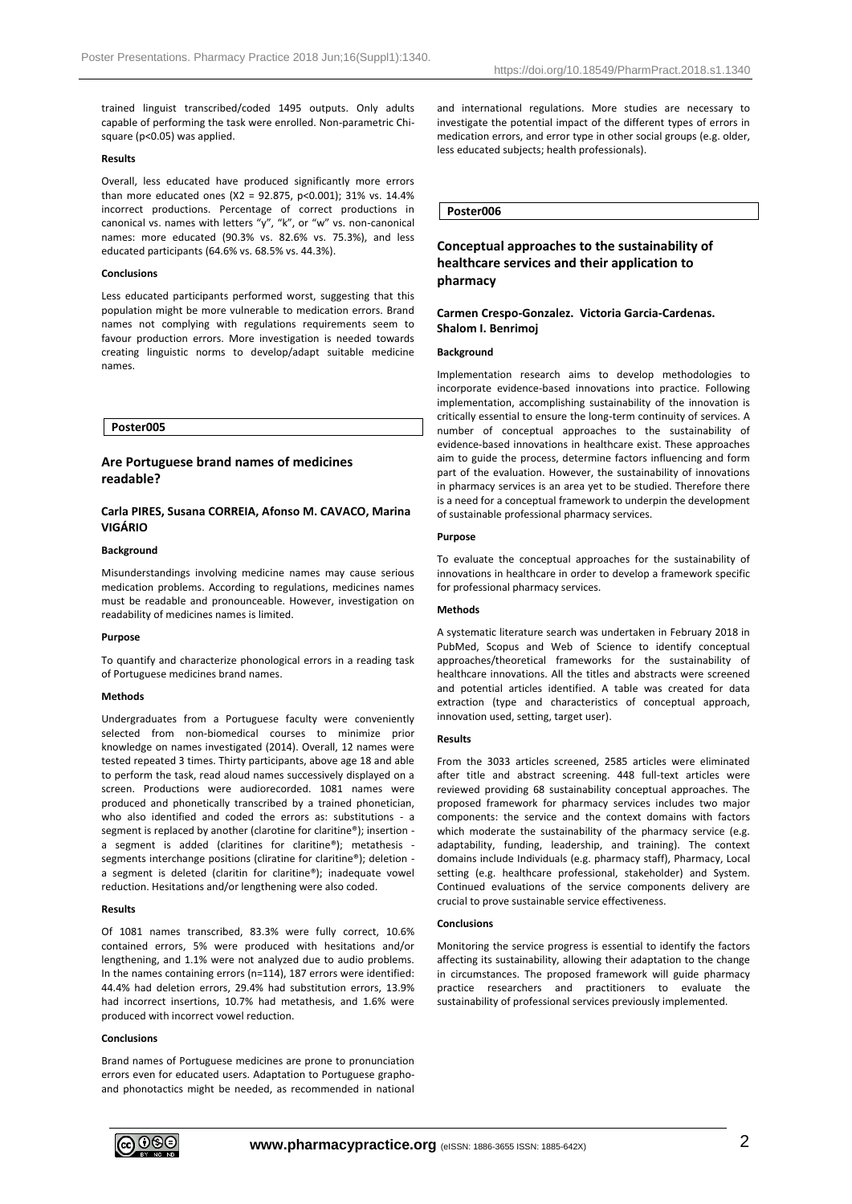trained linguist transcribed/coded 1495 outputs. Only adults capable of performing the task were enrolled. Non-parametric Chisquare (p<0.05) was applied.

### **Results**

Overall, less educated have produced significantly more errors than more educated ones (X2 = 92.875, p<0.001); 31% vs. 14.4% incorrect productions. Percentage of correct productions in canonical vs. names with letters "y", "k", or "w" vs. non-canonical names: more educated (90.3% vs. 82.6% vs. 75.3%), and less educated participants (64.6% vs. 68.5% vs. 44.3%).

# **Conclusions**

Less educated participants performed worst, suggesting that this population might be more vulnerable to medication errors. Brand names not complying with regulations requirements seem to favour production errors. More investigation is needed towards creating linguistic norms to develop/adapt suitable medicine names.

**Poster005**

# **Are Portuguese brand names of medicines readable?**

# **Carla PIRES, Susana CORREIA, Afonso M. CAVACO, Marina VIGÁRIO**

#### **Background**

Misunderstandings involving medicine names may cause serious medication problems. According to regulations, medicines names must be readable and pronounceable. However, investigation on readability of medicines names is limited.

#### **Purpose**

To quantify and characterize phonological errors in a reading task of Portuguese medicines brand names.

#### **Methods**

Undergraduates from a Portuguese faculty were conveniently selected from non-biomedical courses to minimize prior knowledge on names investigated (2014). Overall, 12 names were tested repeated 3 times. Thirty participants, above age 18 and able to perform the task, read aloud names successively displayed on a screen. Productions were audiorecorded. 1081 names were produced and phonetically transcribed by a trained phonetician, who also identified and coded the errors as: substitutions - a segment is replaced by another (clarotine for claritine®); insertion a segment is added (claritines for claritine®); metathesis segments interchange positions (cliratine for claritine®); deletion a segment is deleted (claritin for claritine®); inadequate vowel reduction. Hesitations and/or lengthening were also coded.

#### **Results**

Of 1081 names transcribed, 83.3% were fully correct, 10.6% contained errors, 5% were produced with hesitations and/or lengthening, and 1.1% were not analyzed due to audio problems. In the names containing errors (n=114), 187 errors were identified: 44.4% had deletion errors, 29.4% had substitution errors, 13.9% had incorrect insertions, 10.7% had metathesis, and 1.6% were produced with incorrect vowel reduction.

### **Conclusions**

Brand names of Portuguese medicines are prone to pronunciation errors even for educated users. Adaptation to Portuguese graphoand phonotactics might be needed, as recommended in national and international regulations. More studies are necessary to investigate the potential impact of the different types of errors in medication errors, and error type in other social groups (e.g. older, less educated subjects; health professionals).

# **Poster006**

# **Conceptual approaches to the sustainability of healthcare services and their application to pharmacy**

# **Carmen Crespo-Gonzalez. Victoria Garcia-Cardenas. Shalom I. Benrimoj**

# **Background**

Implementation research aims to develop methodologies to incorporate evidence-based innovations into practice. Following implementation, accomplishing sustainability of the innovation is critically essential to ensure the long-term continuity of services. A number of conceptual approaches to the sustainability of evidence-based innovations in healthcare exist. These approaches aim to guide the process, determine factors influencing and form part of the evaluation. However, the sustainability of innovations in pharmacy services is an area yet to be studied. Therefore there is a need for a conceptual framework to underpin the development of sustainable professional pharmacy services.

## **Purpose**

To evaluate the conceptual approaches for the sustainability of innovations in healthcare in order to develop a framework specific for professional pharmacy services.

### **Methods**

A systematic literature search was undertaken in February 2018 in PubMed, Scopus and Web of Science to identify conceptual approaches/theoretical frameworks for the sustainability of healthcare innovations. All the titles and abstracts were screened and potential articles identified. A table was created for data extraction (type and characteristics of conceptual approach, innovation used, setting, target user).

### **Results**

From the 3033 articles screened, 2585 articles were eliminated after title and abstract screening. 448 full-text articles were reviewed providing 68 sustainability conceptual approaches. The proposed framework for pharmacy services includes two major components: the service and the context domains with factors which moderate the sustainability of the pharmacy service (e.g. adaptability, funding, leadership, and training). The context domains include Individuals (e.g. pharmacy staff), Pharmacy, Local setting (e.g. healthcare professional, stakeholder) and System. Continued evaluations of the service components delivery are crucial to prove sustainable service effectiveness.

#### **Conclusions**

Monitoring the service progress is essential to identify the factors affecting its sustainability, allowing their adaptation to the change in circumstances. The proposed framework will guide pharmacy practice researchers and practitioners to evaluate the sustainability of professional services previously implemented.

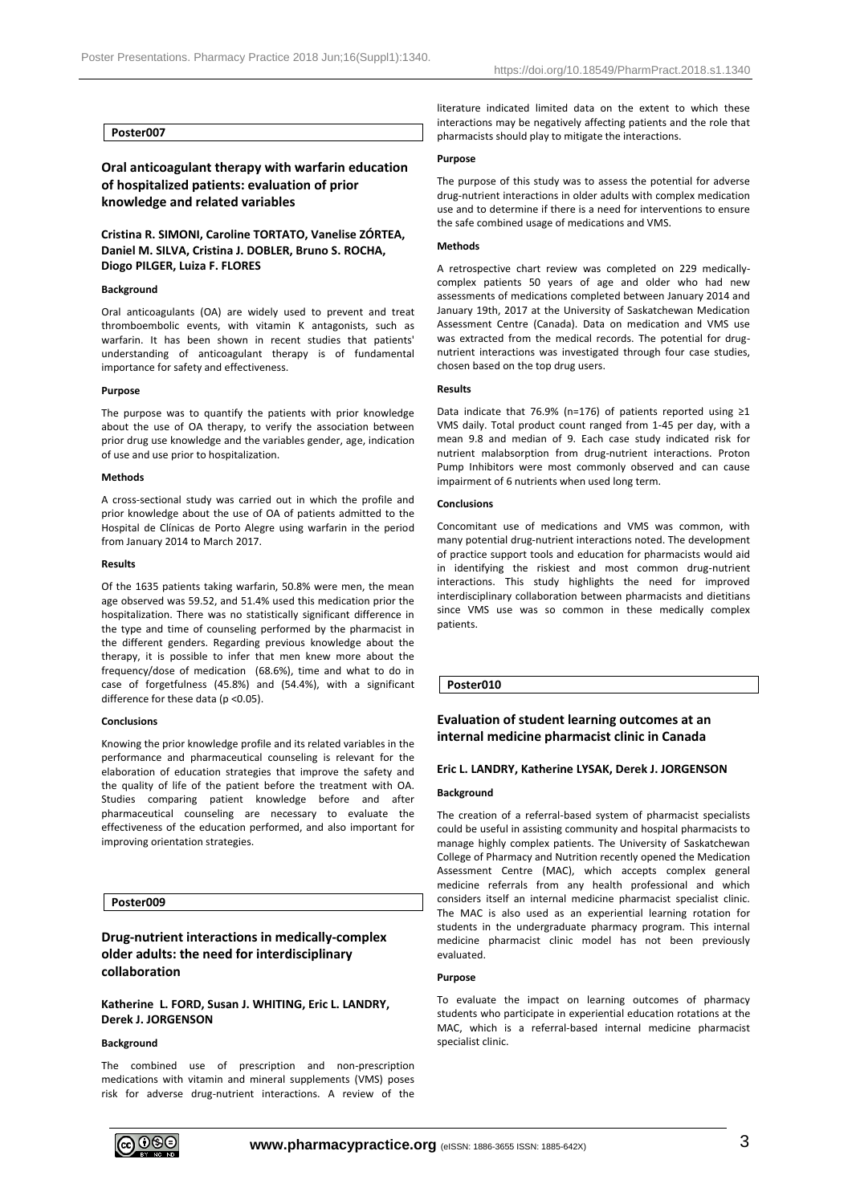# **Poster007**

# **Oral anticoagulant therapy with warfarin education of hospitalized patients: evaluation of prior knowledge and related variables**

# **Cristina R. SIMONI, Caroline TORTATO, Vanelise ZÓRTEA, Daniel M. SILVA, Cristina J. DOBLER, Bruno S. ROCHA, Diogo PILGER, Luiza F. FLORES**

## **Background**

Oral anticoagulants (OA) are widely used to prevent and treat thromboembolic events, with vitamin K antagonists, such as warfarin. It has been shown in recent studies that patients' understanding of anticoagulant therapy is of fundamental importance for safety and effectiveness.

### **Purpose**

The purpose was to quantify the patients with prior knowledge about the use of OA therapy, to verify the association between prior drug use knowledge and the variables gender, age, indication of use and use prior to hospitalization.

# **Methods**

A cross-sectional study was carried out in which the profile and prior knowledge about the use of OA of patients admitted to the Hospital de Clínicas de Porto Alegre using warfarin in the period from January 2014 to March 2017.

#### **Results**

Of the 1635 patients taking warfarin, 50.8% were men, the mean age observed was 59.52, and 51.4% used this medication prior the hospitalization. There was no statistically significant difference in the type and time of counseling performed by the pharmacist in the different genders. Regarding previous knowledge about the therapy, it is possible to infer that men knew more about the frequency/dose of medication (68.6%), time and what to do in case of forgetfulness (45.8%) and (54.4%), with a significant difference for these data (p <0.05).

#### **Conclusions**

Knowing the prior knowledge profile and its related variables in the performance and pharmaceutical counseling is relevant for the elaboration of education strategies that improve the safety and the quality of life of the patient before the treatment with OA. Studies comparing patient knowledge before and after pharmaceutical counseling are necessary to evaluate the effectiveness of the education performed, and also important for improving orientation strategies.

# **Poster009**

# **Drug-nutrient interactions in medically-complex older adults: the need for interdisciplinary collaboration**

# **Katherine L. FORD, Susan J. WHITING, Eric L. LANDRY, Derek J. JORGENSON**

# **Background**

The combined use of prescription and non-prescription medications with vitamin and mineral supplements (VMS) poses risk for adverse drug-nutrient interactions. A review of the literature indicated limited data on the extent to which these interactions may be negatively affecting patients and the role that pharmacists should play to mitigate the interactions.

#### **Purpose**

The purpose of this study was to assess the potential for adverse drug-nutrient interactions in older adults with complex medication use and to determine if there is a need for interventions to ensure the safe combined usage of medications and VMS.

# **Methods**

A retrospective chart review was completed on 229 medicallycomplex patients 50 years of age and older who had new assessments of medications completed between January 2014 and January 19th, 2017 at the University of Saskatchewan Medication Assessment Centre (Canada). Data on medication and VMS use was extracted from the medical records. The potential for drugnutrient interactions was investigated through four case studies, chosen based on the top drug users.

#### **Results**

Data indicate that 76.9% (n=176) of patients reported using ≥1 VMS daily. Total product count ranged from 1-45 per day, with a mean 9.8 and median of 9. Each case study indicated risk for nutrient malabsorption from drug-nutrient interactions. Proton Pump Inhibitors were most commonly observed and can cause impairment of 6 nutrients when used long term.

# **Conclusions**

Concomitant use of medications and VMS was common, with many potential drug-nutrient interactions noted. The development of practice support tools and education for pharmacists would aid in identifying the riskiest and most common drug-nutrient interactions. This study highlights the need for improved interdisciplinary collaboration between pharmacists and dietitians since VMS use was so common in these medically complex patients.

### **Poster010**

# **Evaluation of student learning outcomes at an internal medicine pharmacist clinic in Canada**

### **Eric L. LANDRY, Katherine LYSAK, Derek J. JORGENSON**

#### **Background**

The creation of a referral-based system of pharmacist specialists could be useful in assisting community and hospital pharmacists to manage highly complex patients. The University of Saskatchewan College of Pharmacy and Nutrition recently opened the Medication Assessment Centre (MAC), which accepts complex general medicine referrals from any health professional and which considers itself an internal medicine pharmacist specialist clinic. The MAC is also used as an experiential learning rotation for students in the undergraduate pharmacy program. This internal medicine pharmacist clinic model has not been previously evaluated.

### **Purpose**

To evaluate the impact on learning outcomes of pharmacy students who participate in experiential education rotations at the MAC, which is a referral-based internal medicine pharmacist specialist clinic.

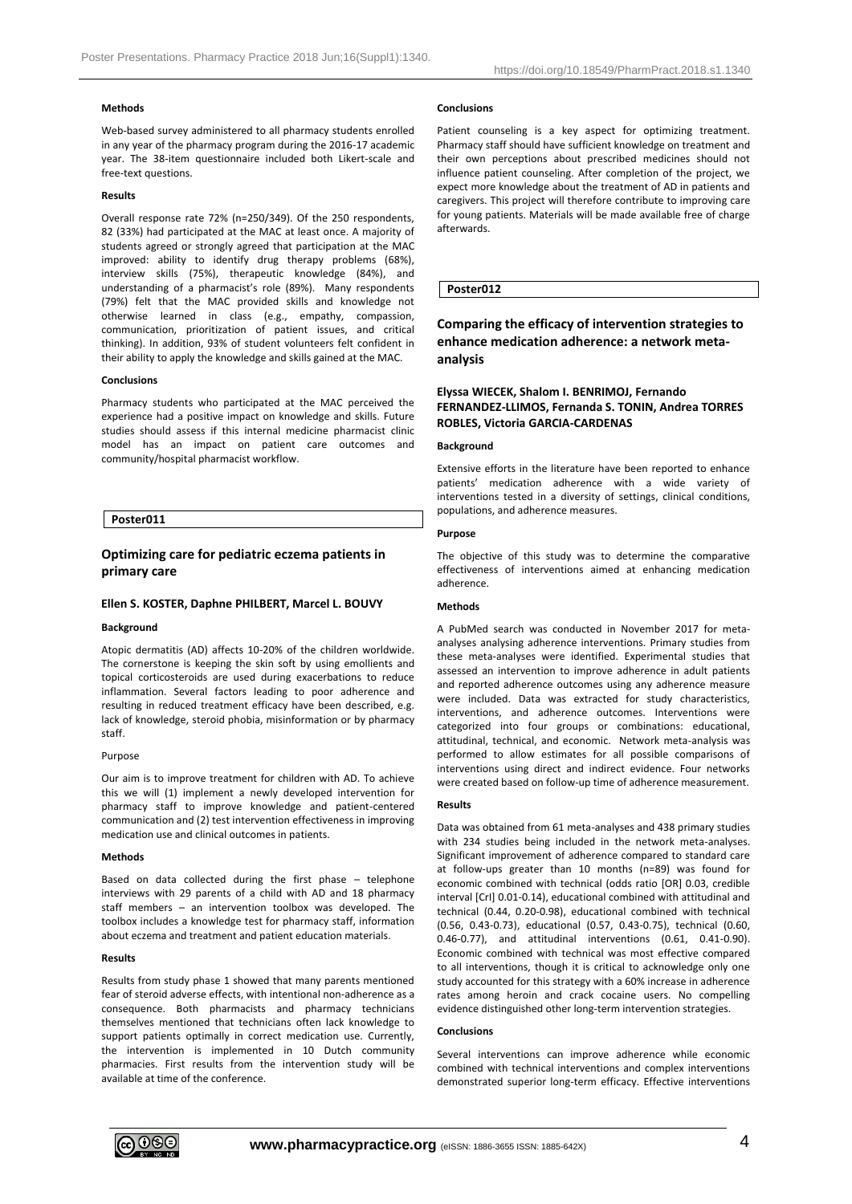# **Methods**

Web-based survey administered to all pharmacy students enrolled in any year of the pharmacy program during the 2016-17 academic year. The 38-item questionnaire included both Likert-scale and free-text questions.

# **Results**

Overall response rate 72% (n=250/349). Of the 250 respondents, 82 (33%) had participated at the MAC at least once. A majority of students agreed or strongly agreed that participation at the MAC improved: ability to identify drug therapy problems (68%), interview skills (75%), therapeutic knowledge (84%), and understanding of a pharmacist's role (89%). Many respondents (79%) felt that the MAC provided skills and knowledge not otherwise learned in class (e.g., empathy, compassion, communication, prioritization of patient issues, and critical thinking). In addition, 93% of student volunteers felt confident in their ability to apply the knowledge and skills gained at the MAC.

#### **Conclusions**

Pharmacy students who participated at the MAC perceived the experience had a positive impact on knowledge and skills. Future studies should assess if this internal medicine pharmacist clinic model has an impact on patient care outcomes and community/hospital pharmacist workflow.

### **Poster011**

# **Optimizing care for pediatric eczema patients in primary care**

# **Ellen S. KOSTER, Daphne PHILBERT, Marcel L. BOUVY**

#### **Background**

Atopic dermatitis (AD) affects 10-20% of the children worldwide. The cornerstone is keeping the skin soft by using emollients and topical corticosteroids are used during exacerbations to reduce inflammation. Several factors leading to poor adherence and resulting in reduced treatment efficacy have been described, e.g. lack of knowledge, steroid phobia, misinformation or by pharmacy staff.

#### Purpose

Our aim is to improve treatment for children with AD. To achieve this we will (1) implement a newly developed intervention for pharmacy staff to improve knowledge and patient-centered communication and (2) test intervention effectiveness in improving medication use and clinical outcomes in patients.

#### **Methods**

Based on data collected during the first phase – telephone interviews with 29 parents of a child with AD and 18 pharmacy staff members – an intervention toolbox was developed. The toolbox includes a knowledge test for pharmacy staff, information about eczema and treatment and patient education materials.

#### **Results**

Results from study phase 1 showed that many parents mentioned fear of steroid adverse effects, with intentional non-adherence as a consequence. Both pharmacists and pharmacy technicians themselves mentioned that technicians often lack knowledge to support patients optimally in correct medication use. Currently, the intervention is implemented in 10 Dutch community pharmacies. First results from the intervention study will be available at time of the conference.

#### **Conclusions**

Patient counseling is a key aspect for optimizing treatment. Pharmacy staff should have sufficient knowledge on treatment and their own perceptions about prescribed medicines should not influence patient counseling. After completion of the project, we expect more knowledge about the treatment of AD in patients and caregivers. This project will therefore contribute to improving care for young patients. Materials will be made available free of charge afterwards.

## **Poster012**

# **Comparing the efficacy of intervention strategies to enhance medication adherence: a network metaanalysis**

# **Elyssa WIECEK, Shalom I. BENRIMOJ, Fernando FERNANDEZ-LLIMOS, Fernanda S. TONIN, Andrea TORRES ROBLES, Victoria GARCIA-CARDENAS**

### **Background**

Extensive efforts in the literature have been reported to enhance patients' medication adherence with a wide variety of interventions tested in a diversity of settings, clinical conditions, populations, and adherence measures.

#### **Purpose**

The objective of this study was to determine the comparative effectiveness of interventions aimed at enhancing medication adherence.

# **Methods**

A PubMed search was conducted in November 2017 for metaanalyses analysing adherence interventions. Primary studies from these meta-analyses were identified. Experimental studies that assessed an intervention to improve adherence in adult patients and reported adherence outcomes using any adherence measure were included. Data was extracted for study characteristics, interventions, and adherence outcomes. Interventions were categorized into four groups or combinations: educational, attitudinal, technical, and economic. Network meta-analysis was performed to allow estimates for all possible comparisons of interventions using direct and indirect evidence. Four networks were created based on follow-up time of adherence measurement.

### **Results**

Data was obtained from 61 meta-analyses and 438 primary studies with 234 studies being included in the network meta-analyses. Significant improvement of adherence compared to standard care at follow-ups greater than 10 months (n=89) was found for economic combined with technical (odds ratio [OR] 0.03, credible interval [CrI] 0.01-0.14), educational combined with attitudinal and technical (0.44, 0.20-0.98), educational combined with technical (0.56, 0.43-0.73), educational (0.57, 0.43-0.75), technical (0.60, 0.46-0.77), and attitudinal interventions (0.61, 0.41-0.90). Economic combined with technical was most effective compared to all interventions, though it is critical to acknowledge only one study accounted for this strategy with a 60% increase in adherence rates among heroin and crack cocaine users. No compelling evidence distinguished other long-term intervention strategies.

# **Conclusions**

Several interventions can improve adherence while economic combined with technical interventions and complex interventions demonstrated superior long-term efficacy. Effective interventions

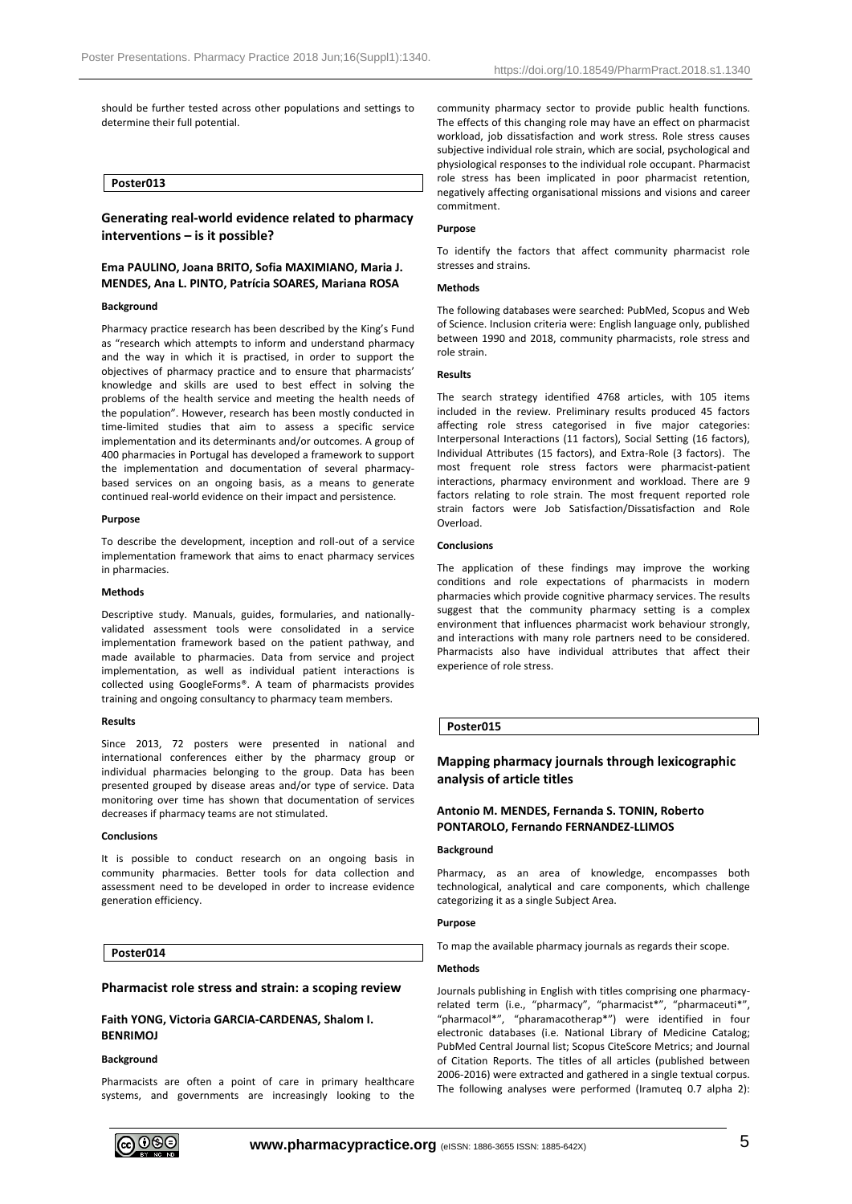should be further tested across other populations and settings to determine their full potential.

# **Poster013**

# **Generating real-world evidence related to pharmacy interventions – is it possible?**

# **Ema PAULINO, Joana BRITO, Sofia MAXIMIANO, Maria J. MENDES, Ana L. PINTO, Patrícia SOARES, Mariana ROSA**

#### **Background**

Pharmacy practice research has been described by the King's Fund as "research which attempts to inform and understand pharmacy and the way in which it is practised, in order to support the objectives of pharmacy practice and to ensure that pharmacists' knowledge and skills are used to best effect in solving the problems of the health service and meeting the health needs of the population". However, research has been mostly conducted in time-limited studies that aim to assess a specific service implementation and its determinants and/or outcomes. A group of 400 pharmacies in Portugal has developed a framework to support the implementation and documentation of several pharmacybased services on an ongoing basis, as a means to generate continued real-world evidence on their impact and persistence.

#### **Purpose**

To describe the development, inception and roll-out of a service implementation framework that aims to enact pharmacy services in pharmacies.

#### **Methods**

Descriptive study. Manuals, guides, formularies, and nationallyvalidated assessment tools were consolidated in a service implementation framework based on the patient pathway, and made available to pharmacies. Data from service and project implementation, as well as individual patient interactions is collected using GoogleForms®. A team of pharmacists provides training and ongoing consultancy to pharmacy team members.

#### **Results**

Since 2013, 72 posters were presented in national and international conferences either by the pharmacy group or individual pharmacies belonging to the group. Data has been presented grouped by disease areas and/or type of service. Data monitoring over time has shown that documentation of services decreases if pharmacy teams are not stimulated.

### **Conclusions**

It is possible to conduct research on an ongoing basis in community pharmacies. Better tools for data collection and assessment need to be developed in order to increase evidence generation efficiency.

# **Poster014**

### **Pharmacist role stress and strain: a scoping review**

# **Faith YONG, Victoria GARCIA-CARDENAS, Shalom I. BENRIMOJ**

## **Background**

Pharmacists are often a point of care in primary healthcare systems, and governments are increasingly looking to the community pharmacy sector to provide public health functions. The effects of this changing role may have an effect on pharmacist workload, job dissatisfaction and work stress. Role stress causes subjective individual role strain, which are social, psychological and physiological responses to the individual role occupant. Pharmacist role stress has been implicated in poor pharmacist retention, negatively affecting organisational missions and visions and career commitment.

## **Purpose**

To identify the factors that affect community pharmacist role stresses and strains.

# **Methods**

The following databases were searched: PubMed, Scopus and Web of Science. Inclusion criteria were: English language only, published between 1990 and 2018, community pharmacists, role stress and role strain.

## **Results**

The search strategy identified 4768 articles, with 105 items included in the review. Preliminary results produced 45 factors affecting role stress categorised in five major categories: Interpersonal Interactions (11 factors), Social Setting (16 factors), Individual Attributes (15 factors), and Extra-Role (3 factors). The most frequent role stress factors were pharmacist-patient interactions, pharmacy environment and workload. There are 9 factors relating to role strain. The most frequent reported role strain factors were Job Satisfaction/Dissatisfaction and Role Overload.

### **Conclusions**

The application of these findings may improve the working conditions and role expectations of pharmacists in modern pharmacies which provide cognitive pharmacy services. The results suggest that the community pharmacy setting is a complex environment that influences pharmacist work behaviour strongly, and interactions with many role partners need to be considered. Pharmacists also have individual attributes that affect their experience of role stress.

**Poster015**

# **Mapping pharmacy journals through lexicographic analysis of article titles**

# **Antonio M. MENDES, Fernanda S. TONIN, Roberto PONTAROLO, Fernando FERNANDEZ-LLIMOS**

# **Background**

Pharmacy, as an area of knowledge, encompasses both technological, analytical and care components, which challenge categorizing it as a single Subject Area.

## **Purpose**

To map the available pharmacy journals as regards their scope.

#### **Methods**

Journals publishing in English with titles comprising one pharmacyrelated term (i.e., "pharmacy", "pharmacist\*", "pharmaceuti\*", "pharmacol\*", "pharamacotherap\*") were identified in four electronic databases (i.e. National Library of Medicine Catalog; PubMed Central Journal list; Scopus CiteScore Metrics; and Journal of Citation Reports. The titles of all articles (published between 2006-2016) were extracted and gathered in a single textual corpus. The following analyses were performed (Iramuteq 0.7 alpha 2):

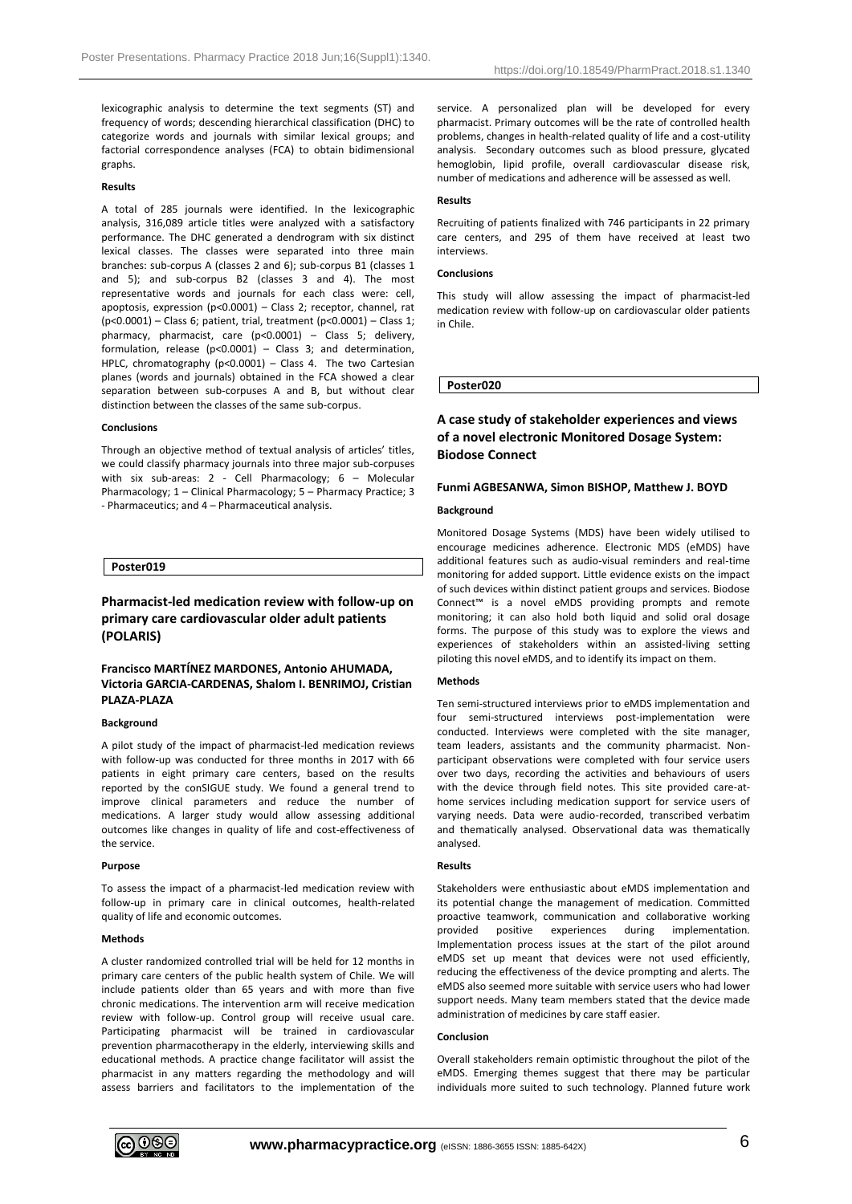lexicographic analysis to determine the text segments (ST) and frequency of words; descending hierarchical classification (DHC) to categorize words and journals with similar lexical groups; and factorial correspondence analyses (FCA) to obtain bidimensional graphs.

# **Results**

A total of 285 journals were identified. In the lexicographic analysis, 316,089 article titles were analyzed with a satisfactory performance. The DHC generated a dendrogram with six distinct lexical classes. The classes were separated into three main branches: sub-corpus A (classes 2 and 6); sub-corpus B1 (classes 1 and 5); and sub-corpus B2 (classes 3 and 4). The most representative words and journals for each class were: cell, apoptosis, expression (p<0.0001) – Class 2; receptor, channel, rat (p<0.0001) – Class 6; patient, trial, treatment (p<0.0001) – Class 1; pharmacy, pharmacist, care (p<0.0001) – Class 5; delivery, formulation, release (p<0.0001) – Class 3; and determination, HPLC, chromatography (p<0.0001) – Class 4. The two Cartesian planes (words and journals) obtained in the FCA showed a clear separation between sub-corpuses A and B, but without clear distinction between the classes of the same sub-corpus.

# **Conclusions**

Through an objective method of textual analysis of articles' titles, we could classify pharmacy journals into three major sub-corpuses with six sub-areas: 2 - Cell Pharmacology; 6 – Molecular Pharmacology; 1 – Clinical Pharmacology; 5 – Pharmacy Practice; 3 - Pharmaceutics; and 4 – Pharmaceutical analysis.

# **Poster019**

# **Pharmacist-led medication review with follow-up on primary care cardiovascular older adult patients (POLARIS)**

# **Francisco MARTÍNEZ MARDONES, Antonio AHUMADA, Victoria GARCIA-CARDENAS, Shalom I. BENRIMOJ, Cristian PLAZA-PLAZA**

# **Background**

A pilot study of the impact of pharmacist-led medication reviews with follow-up was conducted for three months in 2017 with 66 patients in eight primary care centers, based on the results reported by the conSIGUE study. We found a general trend to improve clinical parameters and reduce the number of medications. A larger study would allow assessing additional outcomes like changes in quality of life and cost-effectiveness of the service.

### **Purpose**

To assess the impact of a pharmacist-led medication review with follow-up in primary care in clinical outcomes, health-related quality of life and economic outcomes.

### **Methods**

A cluster randomized controlled trial will be held for 12 months in primary care centers of the public health system of Chile. We will include patients older than 65 years and with more than five chronic medications. The intervention arm will receive medication review with follow-up. Control group will receive usual care. Participating pharmacist will be trained in cardiovascular prevention pharmacotherapy in the elderly, interviewing skills and educational methods. A practice change facilitator will assist the pharmacist in any matters regarding the methodology and will assess barriers and facilitators to the implementation of the service. A personalized plan will be developed for every pharmacist. Primary outcomes will be the rate of controlled health problems, changes in health-related quality of life and a cost-utility analysis. Secondary outcomes such as blood pressure, glycated hemoglobin, lipid profile, overall cardiovascular disease risk, number of medications and adherence will be assessed as well.

# **Results**

Recruiting of patients finalized with 746 participants in 22 primary care centers, and 295 of them have received at least two interviews.

# **Conclusions**

This study will allow assessing the impact of pharmacist-led medication review with follow-up on cardiovascular older patients in Chile.

# **Poster020**

# **A case study of stakeholder experiences and views of a novel electronic Monitored Dosage System: Biodose Connect**

### **Funmi AGBESANWA, Simon BISHOP, Matthew J. BOYD**

### **Background**

Monitored Dosage Systems (MDS) have been widely utilised to encourage medicines adherence. Electronic MDS (eMDS) have additional features such as audio-visual reminders and real-time monitoring for added support. Little evidence exists on the impact of such devices within distinct patient groups and services. Biodose Connect™ is a novel eMDS providing prompts and remote monitoring; it can also hold both liquid and solid oral dosage forms. The purpose of this study was to explore the views and experiences of stakeholders within an assisted-living setting piloting this novel eMDS, and to identify its impact on them.

# **Methods**

Ten semi-structured interviews prior to eMDS implementation and four semi-structured interviews post-implementation were conducted. Interviews were completed with the site manager, team leaders, assistants and the community pharmacist. Nonparticipant observations were completed with four service users over two days, recording the activities and behaviours of users with the device through field notes. This site provided care-athome services including medication support for service users of varying needs. Data were audio-recorded, transcribed verbatim and thematically analysed. Observational data was thematically analysed.

## **Results**

Stakeholders were enthusiastic about eMDS implementation and its potential change the management of medication. Committed proactive teamwork, communication and collaborative working provided positive experiences during implementation. Implementation process issues at the start of the pilot around eMDS set up meant that devices were not used efficiently, reducing the effectiveness of the device prompting and alerts. The eMDS also seemed more suitable with service users who had lower support needs. Many team members stated that the device made administration of medicines by care staff easier.

#### **Conclusion**

Overall stakeholders remain optimistic throughout the pilot of the eMDS. Emerging themes suggest that there may be particular individuals more suited to such technology. Planned future work

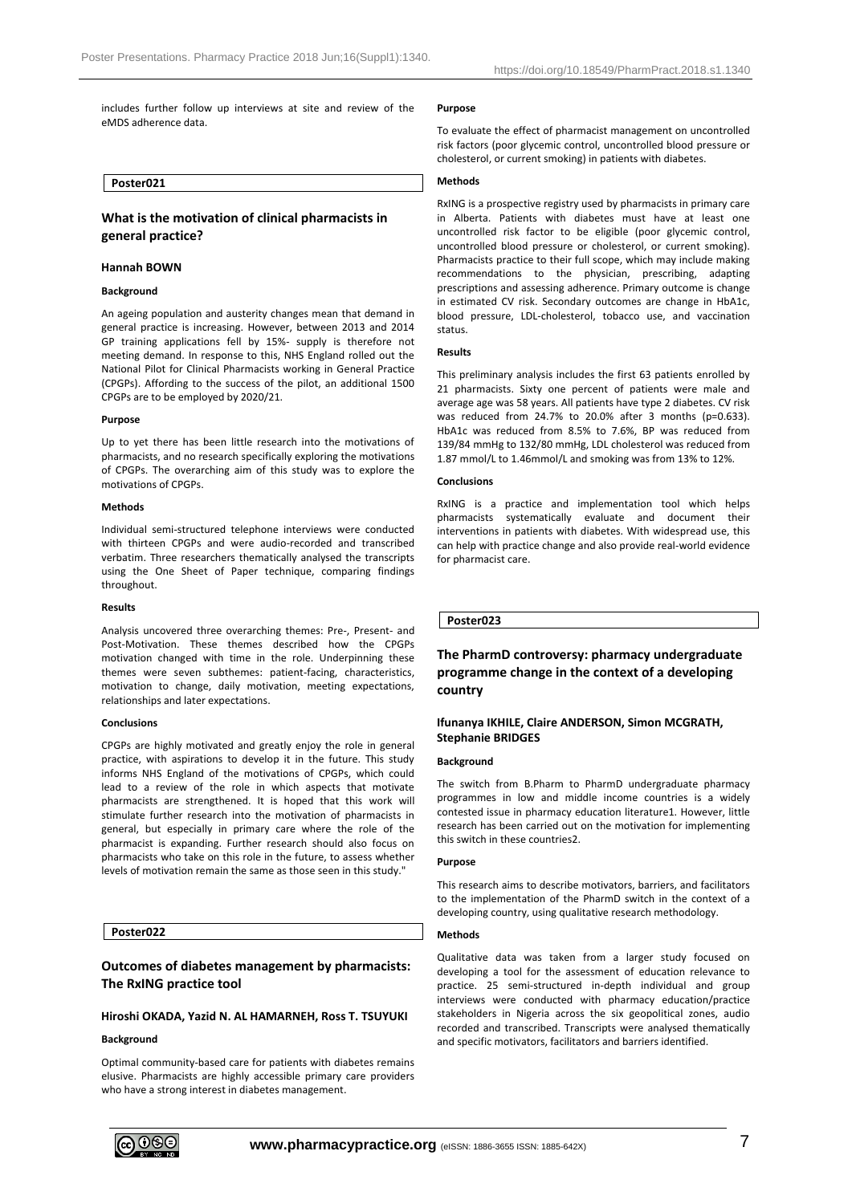includes further follow up interviews at site and review of the eMDS adherence data.

# **Poster021**

# **What is the motivation of clinical pharmacists in general practice?**

### **Hannah BOWN**

### **Background**

An ageing population and austerity changes mean that demand in general practice is increasing. However, between 2013 and 2014 GP training applications fell by 15%- supply is therefore not meeting demand. In response to this, NHS England rolled out the National Pilot for Clinical Pharmacists working in General Practice (CPGPs). Affording to the success of the pilot, an additional 1500 CPGPs are to be employed by 2020/21.

#### **Purpose**

Up to yet there has been little research into the motivations of pharmacists, and no research specifically exploring the motivations of CPGPs. The overarching aim of this study was to explore the motivations of CPGPs.

# **Methods**

Individual semi-structured telephone interviews were conducted with thirteen CPGPs and were audio-recorded and transcribed verbatim. Three researchers thematically analysed the transcripts using the One Sheet of Paper technique, comparing findings throughout.

#### **Results**

Analysis uncovered three overarching themes: Pre-, Present- and Post-Motivation. These themes described how the CPGPs motivation changed with time in the role. Underpinning these themes were seven subthemes: patient-facing, characteristics, motivation to change, daily motivation, meeting expectations, relationships and later expectations.

#### **Conclusions**

CPGPs are highly motivated and greatly enjoy the role in general practice, with aspirations to develop it in the future. This study informs NHS England of the motivations of CPGPs, which could lead to a review of the role in which aspects that motivate pharmacists are strengthened. It is hoped that this work will stimulate further research into the motivation of pharmacists in general, but especially in primary care where the role of the pharmacist is expanding. Further research should also focus on pharmacists who take on this role in the future, to assess whether levels of motivation remain the same as those seen in this study."

# **Poster022**

# **Outcomes of diabetes management by pharmacists: The RxING practice tool**

# **Hiroshi OKADA, Yazid N. AL HAMARNEH, Ross T. TSUYUKI**

# **Background**

Optimal community-based care for patients with diabetes remains elusive. Pharmacists are highly accessible primary care providers who have a strong interest in diabetes management.

### **Purpose**

To evaluate the effect of pharmacist management on uncontrolled risk factors (poor glycemic control, uncontrolled blood pressure or cholesterol, or current smoking) in patients with diabetes.

# **Methods**

RxING is a prospective registry used by pharmacists in primary care in Alberta. Patients with diabetes must have at least one uncontrolled risk factor to be eligible (poor glycemic control, uncontrolled blood pressure or cholesterol, or current smoking). Pharmacists practice to their full scope, which may include making recommendations to the physician, prescribing, adapting prescriptions and assessing adherence. Primary outcome is change in estimated CV risk. Secondary outcomes are change in HbA1c, blood pressure, LDL-cholesterol, tobacco use, and vaccination status.

### **Results**

This preliminary analysis includes the first 63 patients enrolled by 21 pharmacists. Sixty one percent of patients were male and average age was 58 years. All patients have type 2 diabetes. CV risk was reduced from 24.7% to 20.0% after 3 months (p=0.633). HbA1c was reduced from 8.5% to 7.6%, BP was reduced from 139/84 mmHg to 132/80 mmHg, LDL cholesterol was reduced from 1.87 mmol/L to 1.46mmol/L and smoking was from 13% to 12%.

## **Conclusions**

RxING is a practice and implementation tool which helps pharmacists systematically evaluate and document their interventions in patients with diabetes. With widespread use, this can help with practice change and also provide real-world evidence for pharmacist care.

**Poster023**

# **The PharmD controversy: pharmacy undergraduate programme change in the context of a developing country**

# **Ifunanya IKHILE, Claire ANDERSON, Simon MCGRATH, Stephanie BRIDGES**

## **Background**

The switch from B.Pharm to PharmD undergraduate pharmacy programmes in low and middle income countries is a widely contested issue in pharmacy education literature1. However, little research has been carried out on the motivation for implementing this switch in these countries2.

#### **Purpose**

This research aims to describe motivators, barriers, and facilitators to the implementation of the PharmD switch in the context of a developing country, using qualitative research methodology.

### **Methods**

Qualitative data was taken from a larger study focused on developing a tool for the assessment of education relevance to practice. 25 semi-structured in-depth individual and group interviews were conducted with pharmacy education/practice stakeholders in Nigeria across the six geopolitical zones, audio recorded and transcribed. Transcripts were analysed thematically and specific motivators, facilitators and barriers identified.

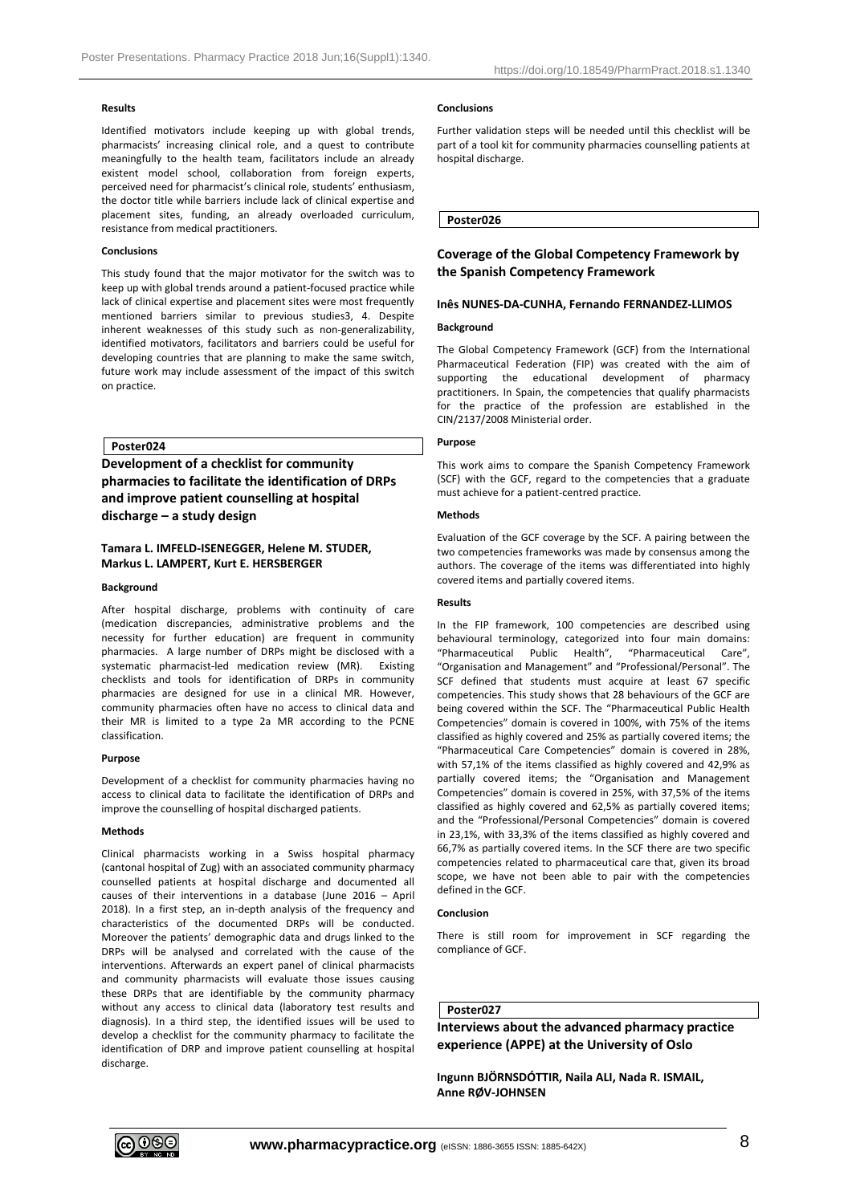# **Results**

Identified motivators include keeping up with global trends, pharmacists' increasing clinical role, and a quest to contribute meaningfully to the health team, facilitators include an already existent model school, collaboration from foreign experts, perceived need for pharmacist's clinical role, students' enthusiasm, the doctor title while barriers include lack of clinical expertise and placement sites, funding, an already overloaded curriculum, resistance from medical practitioners.

### **Conclusions**

This study found that the major motivator for the switch was to keep up with global trends around a patient-focused practice while lack of clinical expertise and placement sites were most frequently mentioned barriers similar to previous studies3, 4. Despite inherent weaknesses of this study such as non-generalizability, identified motivators, facilitators and barriers could be useful for developing countries that are planning to make the same switch, future work may include assessment of the impact of this switch on practice.

**Poster024**

**Development of a checklist for community pharmacies to facilitate the identification of DRPs and improve patient counselling at hospital discharge – a study design**

# **Tamara L. IMFELD-ISENEGGER, Helene M. STUDER, Markus L. LAMPERT, Kurt E. HERSBERGER**

### **Background**

After hospital discharge, problems with continuity of care (medication discrepancies, administrative problems and the necessity for further education) are frequent in community pharmacies. A large number of DRPs might be disclosed with a systematic pharmacist-led medication review (MR). Existing checklists and tools for identification of DRPs in community pharmacies are designed for use in a clinical MR. However, community pharmacies often have no access to clinical data and their MR is limited to a type 2a MR according to the PCNE classification.

# **Purpose**

Development of a checklist for community pharmacies having no access to clinical data to facilitate the identification of DRPs and improve the counselling of hospital discharged patients.

# **Methods**

Clinical pharmacists working in a Swiss hospital pharmacy (cantonal hospital of Zug) with an associated community pharmacy counselled patients at hospital discharge and documented all causes of their interventions in a database (June 2016 – April 2018). In a first step, an in-depth analysis of the frequency and characteristics of the documented DRPs will be conducted. Moreover the patients' demographic data and drugs linked to the DRPs will be analysed and correlated with the cause of the interventions. Afterwards an expert panel of clinical pharmacists and community pharmacists will evaluate those issues causing these DRPs that are identifiable by the community pharmacy without any access to clinical data (laboratory test results and diagnosis). In a third step, the identified issues will be used to develop a checklist for the community pharmacy to facilitate the identification of DRP and improve patient counselling at hospital discharge.

#### **Conclusions**

Further validation steps will be needed until this checklist will be part of a tool kit for community pharmacies counselling patients at hospital discharge.

**Poster026**

# **Coverage of the Global Competency Framework by the Spanish Competency Framework**

# **Inês NUNES-DA-CUNHA, Fernando FERNANDEZ-LLIMOS**

## **Background**

The Global Competency Framework (GCF) from the International Pharmaceutical Federation (FIP) was created with the aim of supporting the educational development of pharmacy practitioners. In Spain, the competencies that qualify pharmacists for the practice of the profession are established in the CIN/2137/2008 Ministerial order.

### **Purpose**

This work aims to compare the Spanish Competency Framework (SCF) with the GCF, regard to the competencies that a graduate must achieve for a patient-centred practice.

### **Methods**

Evaluation of the GCF coverage by the SCF. A pairing between the two competencies frameworks was made by consensus among the authors. The coverage of the items was differentiated into highly covered items and partially covered items.

# **Results**

In the FIP framework, 100 competencies are described using behavioural terminology, categorized into four main domains: "Pharmaceutical Public Health", "Pharmaceutical Care", "Organisation and Management" and "Professional/Personal". The SCF defined that students must acquire at least 67 specific competencies. This study shows that 28 behaviours of the GCF are being covered within the SCF. The "Pharmaceutical Public Health Competencies" domain is covered in 100%, with 75% of the items classified as highly covered and 25% as partially covered items; the "Pharmaceutical Care Competencies" domain is covered in 28%, with 57,1% of the items classified as highly covered and 42,9% as partially covered items; the "Organisation and Management Competencies" domain is covered in 25%, with 37,5% of the items classified as highly covered and 62,5% as partially covered items; and the "Professional/Personal Competencies" domain is covered in 23,1%, with 33,3% of the items classified as highly covered and 66,7% as partially covered items. In the SCF there are two specific competencies related to pharmaceutical care that, given its broad scope, we have not been able to pair with the competencies defined in the GCF.

## **Conclusion**

There is still room for improvement in SCF regarding the compliance of GCF.

# **Poster027**

**Interviews about the advanced pharmacy practice experience (APPE) at the University of Oslo**

**Ingunn BJÖRNSDÓTTIR, Naila ALI, Nada R. ISMAIL, Anne RØV-JOHNSEN**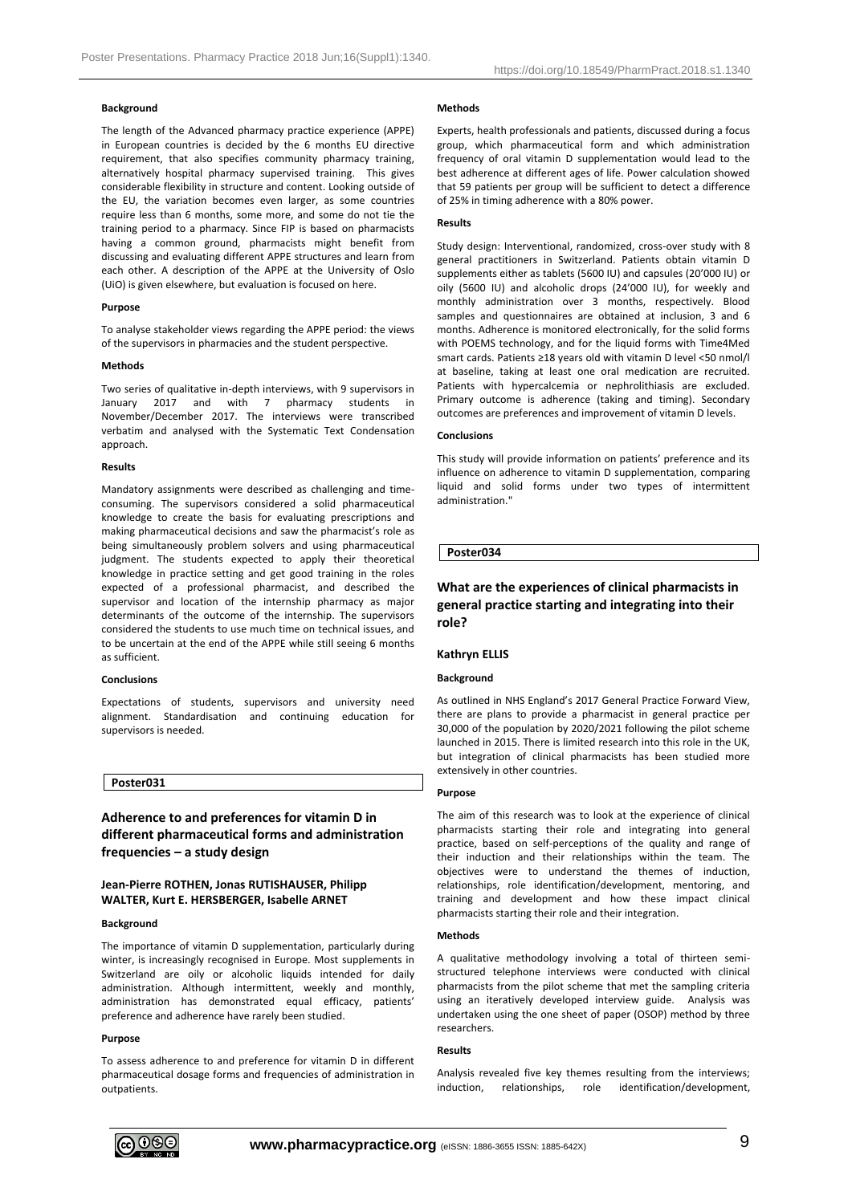# **Background**

The length of the Advanced pharmacy practice experience (APPE) in European countries is decided by the 6 months EU directive requirement, that also specifies community pharmacy training, alternatively hospital pharmacy supervised training. This gives considerable flexibility in structure and content. Looking outside of the EU, the variation becomes even larger, as some countries require less than 6 months, some more, and some do not tie the training period to a pharmacy. Since FIP is based on pharmacists having a common ground, pharmacists might benefit from discussing and evaluating different APPE structures and learn from each other. A description of the APPE at the University of Oslo (UiO) is given elsewhere, but evaluation is focused on here.

#### **Purpose**

To analyse stakeholder views regarding the APPE period: the views of the supervisors in pharmacies and the student perspective.

## **Methods**

Two series of qualitative in-depth interviews, with 9 supervisors in January 2017 and with 7 pharmacy students in November/December 2017. The interviews were transcribed verbatim and analysed with the Systematic Text Condensation approach.

### **Results**

Mandatory assignments were described as challenging and timeconsuming. The supervisors considered a solid pharmaceutical knowledge to create the basis for evaluating prescriptions and making pharmaceutical decisions and saw the pharmacist's role as being simultaneously problem solvers and using pharmaceutical judgment. The students expected to apply their theoretical knowledge in practice setting and get good training in the roles expected of a professional pharmacist, and described the supervisor and location of the internship pharmacy as major determinants of the outcome of the internship. The supervisors considered the students to use much time on technical issues, and to be uncertain at the end of the APPE while still seeing 6 months as sufficient.

#### **Conclusions**

Expectations of students, supervisors and university need alignment. Standardisation and continuing education for supervisors is needed.

# **Poster031**

**Adherence to and preferences for vitamin D in different pharmaceutical forms and administration frequencies – a study design**

# **Jean-Pierre ROTHEN, Jonas RUTISHAUSER, Philipp WALTER, Kurt E. HERSBERGER, Isabelle ARNET**

### **Background**

The importance of vitamin D supplementation, particularly during winter, is increasingly recognised in Europe. Most supplements in Switzerland are oily or alcoholic liquids intended for daily administration. Although intermittent, weekly and monthly, administration has demonstrated equal efficacy, patients' preference and adherence have rarely been studied.

### **Purpose**

To assess adherence to and preference for vitamin D in different pharmaceutical dosage forms and frequencies of administration in outpatients.

# **Methods**

Experts, health professionals and patients, discussed during a focus group, which pharmaceutical form and which administration frequency of oral vitamin D supplementation would lead to the best adherence at different ages of life. Power calculation showed that 59 patients per group will be sufficient to detect a difference of 25% in timing adherence with a 80% power.

### **Results**

Study design: Interventional, randomized, cross-over study with 8 general practitioners in Switzerland. Patients obtain vitamin D supplements either as tablets (5600 IU) and capsules (20'000 IU) or oily (5600 IU) and alcoholic drops (24'000 IU), for weekly and monthly administration over 3 months, respectively. Blood samples and questionnaires are obtained at inclusion, 3 and 6 months. Adherence is monitored electronically, for the solid forms with POEMS technology, and for the liquid forms with Time4Med smart cards. Patients ≥18 years old with vitamin D level <50 nmol/l at baseline, taking at least one oral medication are recruited. Patients with hypercalcemia or nephrolithiasis are excluded. Primary outcome is adherence (taking and timing). Secondary outcomes are preferences and improvement of vitamin D levels.

#### **Conclusions**

This study will provide information on patients' preference and its influence on adherence to vitamin D supplementation, comparing liquid and solid forms under two types of intermittent administration."

### **Poster034**

# **What are the experiences of clinical pharmacists in general practice starting and integrating into their role?**

# **Kathryn ELLIS**

# **Background**

As outlined in NHS England's 2017 General Practice Forward View, there are plans to provide a pharmacist in general practice per 30,000 of the population by 2020/2021 following the pilot scheme launched in 2015. There is limited research into this role in the UK, but integration of clinical pharmacists has been studied more extensively in other countries.

#### **Purpose**

The aim of this research was to look at the experience of clinical pharmacists starting their role and integrating into general practice, based on self-perceptions of the quality and range of their induction and their relationships within the team. The objectives were to understand the themes of induction, relationships, role identification/development, mentoring, and training and development and how these impact clinical pharmacists starting their role and their integration.

### **Methods**

A qualitative methodology involving a total of thirteen semistructured telephone interviews were conducted with clinical pharmacists from the pilot scheme that met the sampling criteria using an iteratively developed interview guide. Analysis was undertaken using the one sheet of paper (OSOP) method by three researchers.

### **Results**

Analysis revealed five key themes resulting from the interviews; induction, relationships, role identification/development,

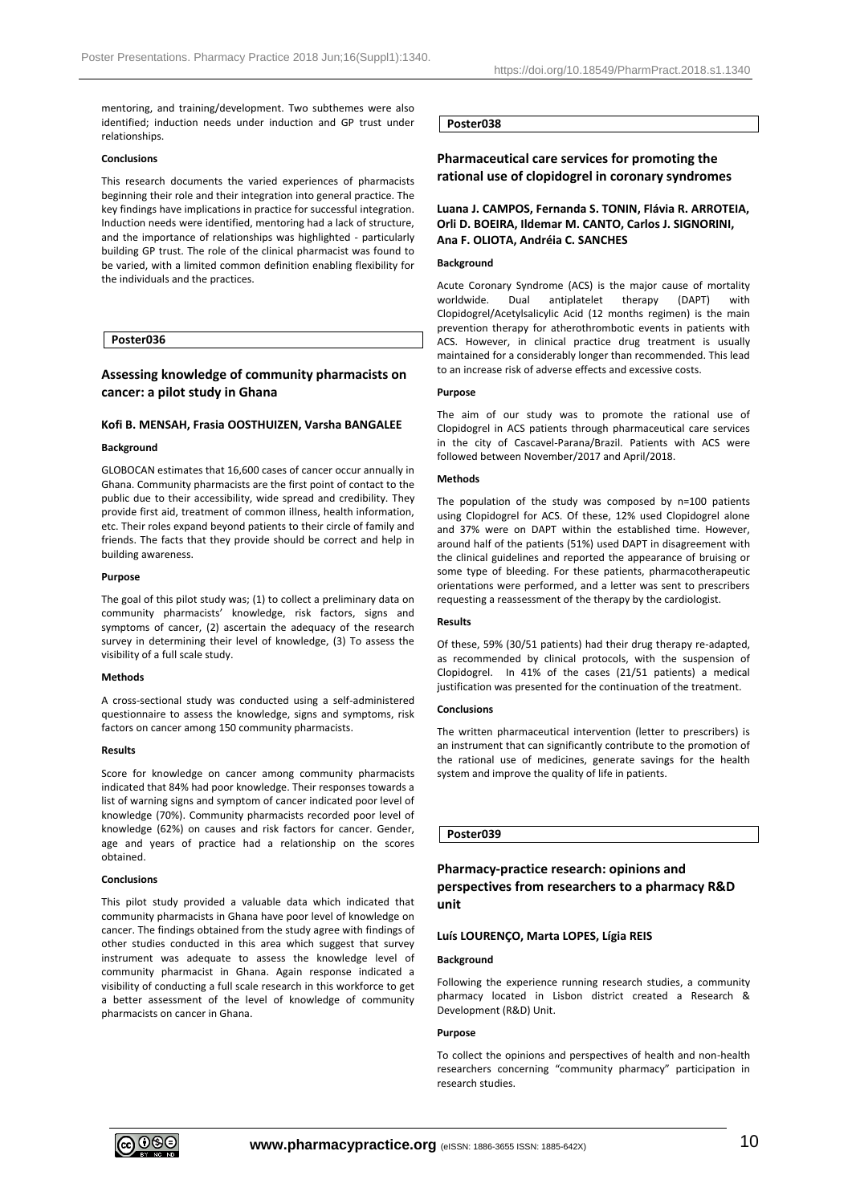mentoring, and training/development. Two subthemes were also identified; induction needs under induction and GP trust under relationships.

### **Conclusions**

This research documents the varied experiences of pharmacists beginning their role and their integration into general practice. The key findings have implications in practice for successful integration. Induction needs were identified, mentoring had a lack of structure, and the importance of relationships was highlighted - particularly building GP trust. The role of the clinical pharmacist was found to be varied, with a limited common definition enabling flexibility for the individuals and the practices.

# **Poster036**

# **Assessing knowledge of community pharmacists on cancer: a pilot study in Ghana**

### **Kofi B. MENSAH, Frasia OOSTHUIZEN, Varsha BANGALEE**

### **Background**

GLOBOCAN estimates that 16,600 cases of cancer occur annually in Ghana. Community pharmacists are the first point of contact to the public due to their accessibility, wide spread and credibility. They provide first aid, treatment of common illness, health information, etc. Their roles expand beyond patients to their circle of family and friends. The facts that they provide should be correct and help in building awareness.

### **Purpose**

The goal of this pilot study was; (1) to collect a preliminary data on community pharmacists' knowledge, risk factors, signs and symptoms of cancer, (2) ascertain the adequacy of the research survey in determining their level of knowledge, (3) To assess the visibility of a full scale study.

### **Methods**

A cross-sectional study was conducted using a self-administered questionnaire to assess the knowledge, signs and symptoms, risk factors on cancer among 150 community pharmacists.

### **Results**

Score for knowledge on cancer among community pharmacists indicated that 84% had poor knowledge. Their responses towards a list of warning signs and symptom of cancer indicated poor level of knowledge (70%). Community pharmacists recorded poor level of knowledge (62%) on causes and risk factors for cancer. Gender, age and years of practice had a relationship on the scores obtained.

### **Conclusions**

This pilot study provided a valuable data which indicated that community pharmacists in Ghana have poor level of knowledge on cancer. The findings obtained from the study agree with findings of other studies conducted in this area which suggest that survey instrument was adequate to assess the knowledge level of community pharmacist in Ghana. Again response indicated a visibility of conducting a full scale research in this workforce to get a better assessment of the level of knowledge of community pharmacists on cancer in Ghana.

# **Poster038**

# **Pharmaceutical care services for promoting the rational use of clopidogrel in coronary syndromes**

# **Luana J. CAMPOS, Fernanda S. TONIN, Flávia R. ARROTEIA, Orli D. BOEIRA, Ildemar M. CANTO, Carlos J. SIGNORINI, Ana F. OLIOTA, Andréia C. SANCHES**

### **Background**

Acute Coronary Syndrome (ACS) is the major cause of mortality worldwide. Dual antiplatelet therapy (DAPT) with Clopidogrel/Acetylsalicylic Acid (12 months regimen) is the main prevention therapy for atherothrombotic events in patients with ACS. However, in clinical practice drug treatment is usually maintained for a considerably longer than recommended. This lead to an increase risk of adverse effects and excessive costs.

### **Purpose**

The aim of our study was to promote the rational use of Clopidogrel in ACS patients through pharmaceutical care services in the city of Cascavel-Parana/Brazil. Patients with ACS were followed between November/2017 and April/2018.

### **Methods**

The population of the study was composed by n=100 patients using Clopidogrel for ACS. Of these, 12% used Clopidogrel alone and 37% were on DAPT within the established time. However, around half of the patients (51%) used DAPT in disagreement with the clinical guidelines and reported the appearance of bruising or some type of bleeding. For these patients, pharmacotherapeutic orientations were performed, and a letter was sent to prescribers requesting a reassessment of the therapy by the cardiologist.

### **Results**

Of these, 59% (30/51 patients) had their drug therapy re-adapted, as recommended by clinical protocols, with the suspension of Clopidogrel. In 41% of the cases (21/51 patients) a medical justification was presented for the continuation of the treatment.

# **Conclusions**

The written pharmaceutical intervention (letter to prescribers) is an instrument that can significantly contribute to the promotion of the rational use of medicines, generate savings for the health system and improve the quality of life in patients.

# **Poster039**

# **Pharmacy-practice research: opinions and perspectives from researchers to a pharmacy R&D unit**

# **Luís LOURENÇO, Marta LOPES, Lígia REIS**

### **Background**

Following the experience running research studies, a community pharmacy located in Lisbon district created a Research & Development (R&D) Unit.

#### **Purpose**

To collect the opinions and perspectives of health and non-health researchers concerning "community pharmacy" participation in research studies.

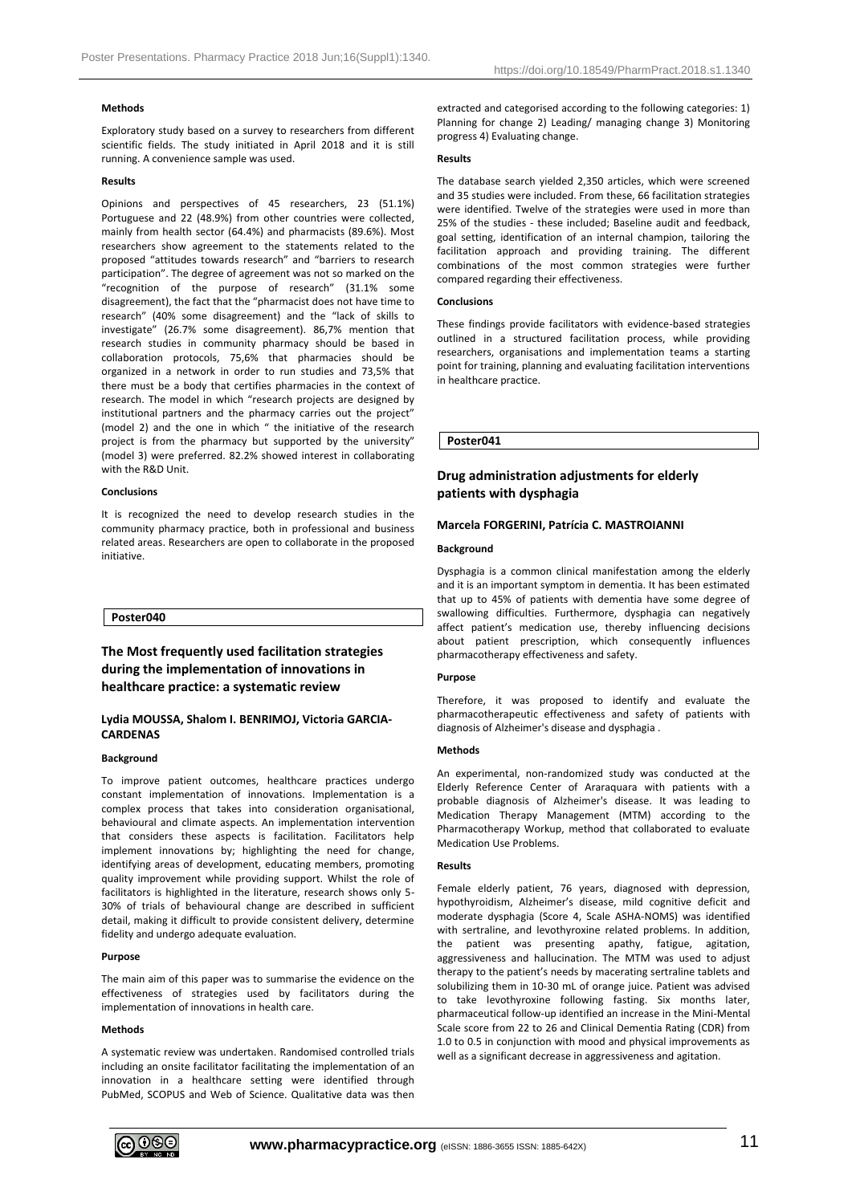# **Methods**

Exploratory study based on a survey to researchers from different scientific fields. The study initiated in April 2018 and it is still running. A convenience sample was used.

# **Results**

Opinions and perspectives of 45 researchers, 23 (51.1%) Portuguese and 22 (48.9%) from other countries were collected, mainly from health sector (64.4%) and pharmacists (89.6%). Most researchers show agreement to the statements related to the proposed "attitudes towards research" and "barriers to research participation". The degree of agreement was not so marked on the "recognition of the purpose of research" (31.1% some disagreement), the fact that the "pharmacist does not have time to research" (40% some disagreement) and the "lack of skills to investigate" (26.7% some disagreement). 86,7% mention that research studies in community pharmacy should be based in collaboration protocols, 75,6% that pharmacies should be organized in a network in order to run studies and 73,5% that there must be a body that certifies pharmacies in the context of research. The model in which "research projects are designed by institutional partners and the pharmacy carries out the project" (model 2) and the one in which " the initiative of the research project is from the pharmacy but supported by the university" (model 3) were preferred. 82.2% showed interest in collaborating with the R&D Unit.

### **Conclusions**

It is recognized the need to develop research studies in the community pharmacy practice, both in professional and business related areas. Researchers are open to collaborate in the proposed initiative.

## **Poster040**

# **The Most frequently used facilitation strategies during the implementation of innovations in healthcare practice: a systematic review**

# **Lydia MOUSSA, Shalom I. BENRIMOJ, Victoria GARCIA-CARDENAS**

### **Background**

To improve patient outcomes, healthcare practices undergo constant implementation of innovations. Implementation is a complex process that takes into consideration organisational, behavioural and climate aspects. An implementation intervention that considers these aspects is facilitation. Facilitators help implement innovations by; highlighting the need for change, identifying areas of development, educating members, promoting quality improvement while providing support. Whilst the role of facilitators is highlighted in the literature, research shows only 5- 30% of trials of behavioural change are described in sufficient detail, making it difficult to provide consistent delivery, determine fidelity and undergo adequate evaluation.

#### **Purpose**

The main aim of this paper was to summarise the evidence on the effectiveness of strategies used by facilitators during the implementation of innovations in health care.

#### **Methods**

A systematic review was undertaken. Randomised controlled trials including an onsite facilitator facilitating the implementation of an innovation in a healthcare setting were identified through PubMed, SCOPUS and Web of Science. Qualitative data was then extracted and categorised according to the following categories: 1) Planning for change 2) Leading/ managing change 3) Monitoring progress 4) Evaluating change.

#### **Results**

The database search yielded 2,350 articles, which were screened and 35 studies were included. From these, 66 facilitation strategies were identified. Twelve of the strategies were used in more than 25% of the studies - these included; Baseline audit and feedback, goal setting, identification of an internal champion, tailoring the facilitation approach and providing training. The different combinations of the most common strategies were further compared regarding their effectiveness.

# **Conclusions**

These findings provide facilitators with evidence-based strategies outlined in a structured facilitation process, while providing researchers, organisations and implementation teams a starting point for training, planning and evaluating facilitation interventions in healthcare practice.

**Poster041**

# **Drug administration adjustments for elderly patients with dysphagia**

# **Marcela FORGERINI, Patrícia C. MASTROIANNI**

#### **Background**

Dysphagia is a common clinical manifestation among the elderly and it is an important symptom in dementia. It has been estimated that up to 45% of patients with dementia have some degree of swallowing difficulties. Furthermore, dysphagia can negatively affect patient's medication use, thereby influencing decisions about patient prescription, which consequently influences pharmacotherapy effectiveness and safety.

# **Purpose**

Therefore, it was proposed to identify and evaluate the pharmacotherapeutic effectiveness and safety of patients with diagnosis of Alzheimer's disease and dysphagia .

# **Methods**

An experimental, non-randomized study was conducted at the Elderly Reference Center of Araraquara with patients with a probable diagnosis of Alzheimer's disease. It was leading to Medication Therapy Management (MTM) according to the Pharmacotherapy Workup, method that collaborated to evaluate Medication Use Problems.

# **Results**

Female elderly patient, 76 years, diagnosed with depression, hypothyroidism, Alzheimer's disease, mild cognitive deficit and moderate dysphagia (Score 4, Scale ASHA-NOMS) was identified with sertraline, and levothyroxine related problems. In addition, the patient was presenting apathy, fatigue, agitation, aggressiveness and hallucination. The MTM was used to adjust therapy to the patient's needs by macerating sertraline tablets and solubilizing them in 10-30 mL of orange juice. Patient was advised to take levothyroxine following fasting. Six months later, pharmaceutical follow-up identified an increase in the Mini-Mental Scale score from 22 to 26 and Clinical Dementia Rating (CDR) from 1.0 to 0.5 in conjunction with mood and physical improvements as well as a significant decrease in aggressiveness and agitation.

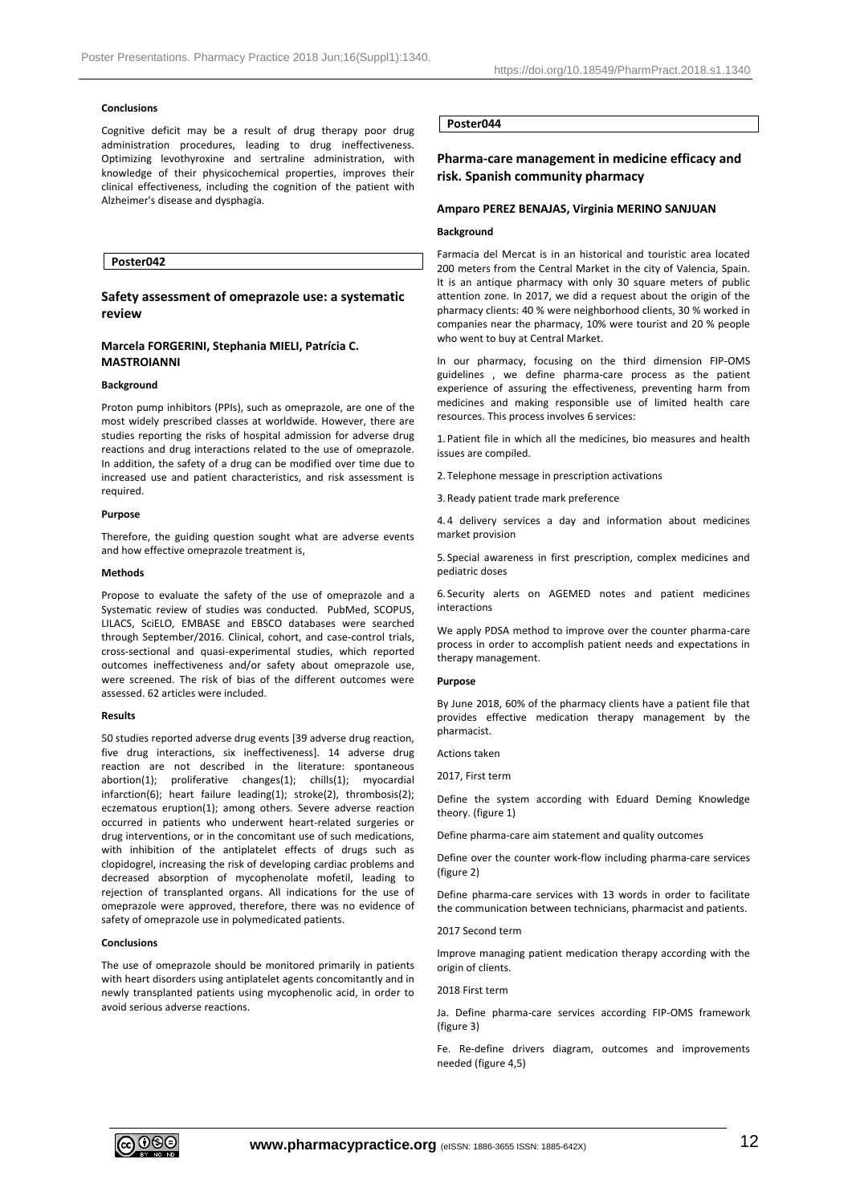# **Conclusions**

Cognitive deficit may be a result of drug therapy poor drug administration procedures, leading to drug ineffectiveness. Optimizing levothyroxine and sertraline administration, with knowledge of their physicochemical properties, improves their clinical effectiveness, including the cognition of the patient with Alzheimer's disease and dysphagia.

# **Poster042**

# **Safety assessment of omeprazole use: a systematic review**

# **Marcela FORGERINI, Stephania MIELI, Patrícia C. MASTROIANNI**

### **Background**

Proton pump inhibitors (PPIs), such as omeprazole, are one of the most widely prescribed classes at worldwide. However, there are studies reporting the risks of hospital admission for adverse drug reactions and drug interactions related to the use of omeprazole. In addition, the safety of a drug can be modified over time due to increased use and patient characteristics, and risk assessment is required.

# **Purpose**

Therefore, the guiding question sought what are adverse events and how effective omeprazole treatment is,

#### **Methods**

Propose to evaluate the safety of the use of omeprazole and a Systematic review of studies was conducted. PubMed, SCOPUS, LILACS, SciELO, EMBASE and EBSCO databases were searched through September/2016. Clinical, cohort, and case-control trials, cross-sectional and quasi-experimental studies, which reported outcomes ineffectiveness and/or safety about omeprazole use, were screened. The risk of bias of the different outcomes were assessed. 62 articles were included.

## **Results**

50 studies reported adverse drug events [39 adverse drug reaction, five drug interactions, six ineffectiveness]. 14 adverse drug reaction are not described in the literature: spontaneous abortion(1); proliferative changes(1); chills(1); myocardial infarction(6); heart failure leading(1); stroke(2), thrombosis(2); eczematous eruption(1); among others. Severe adverse reaction occurred in patients who underwent heart-related surgeries or drug interventions, or in the concomitant use of such medications, with inhibition of the antiplatelet effects of drugs such as clopidogrel, increasing the risk of developing cardiac problems and decreased absorption of mycophenolate mofetil, leading to rejection of transplanted organs. All indications for the use of omeprazole were approved, therefore, there was no evidence of safety of omeprazole use in polymedicated patients.

#### **Conclusions**

The use of omeprazole should be monitored primarily in patients with heart disorders using antiplatelet agents concomitantly and in newly transplanted patients using mycophenolic acid, in order to avoid serious adverse reactions.

# **Poster044**

# **Pharma-care management in medicine efficacy and risk. Spanish community pharmacy**

## **Amparo PEREZ BENAJAS, Virginia MERINO SANJUAN**

# **Background**

Farmacia del Mercat is in an historical and touristic area located 200 meters from the Central Market in the city of Valencia, Spain. It is an antique pharmacy with only 30 square meters of public attention zone. In 2017, we did a request about the origin of the pharmacy clients: 40 % were neighborhood clients, 30 % worked in companies near the pharmacy, 10% were tourist and 20 % people who went to buy at Central Market.

In our pharmacy, focusing on the third dimension FIP-OMS guidelines , we define pharma-care process as the patient experience of assuring the effectiveness, preventing harm from medicines and making responsible use of limited health care resources. This process involves 6 services:

1. Patient file in which all the medicines, bio measures and health issues are compiled.

2. Telephone message in prescription activations

3.Ready patient trade mark preference

4. 4 delivery services a day and information about medicines market provision

5. Special awareness in first prescription, complex medicines and pediatric doses

6. Security alerts on AGEMED notes and patient medicines interactions

We apply PDSA method to improve over the counter pharma-care process in order to accomplish patient needs and expectations in therapy management.

# **Purpose**

By June 2018, 60% of the pharmacy clients have a patient file that provides effective medication therapy management by the pharmacist.

Actions taken

2017, First term

Define the system according with Eduard Deming Knowledge theory. (figure 1)

Define pharma-care aim statement and quality outcomes

Define over the counter work-flow including pharma-care services (figure 2)

Define pharma-care services with 13 words in order to facilitate the communication between technicians, pharmacist and patients.

# 2017 Second term

Improve managing patient medication therapy according with the origin of clients.

2018 First term

Ja. Define pharma-care services according FIP-OMS framework (figure 3)

Fe. Re-define drivers diagram, outcomes and improvements needed (figure 4,5)

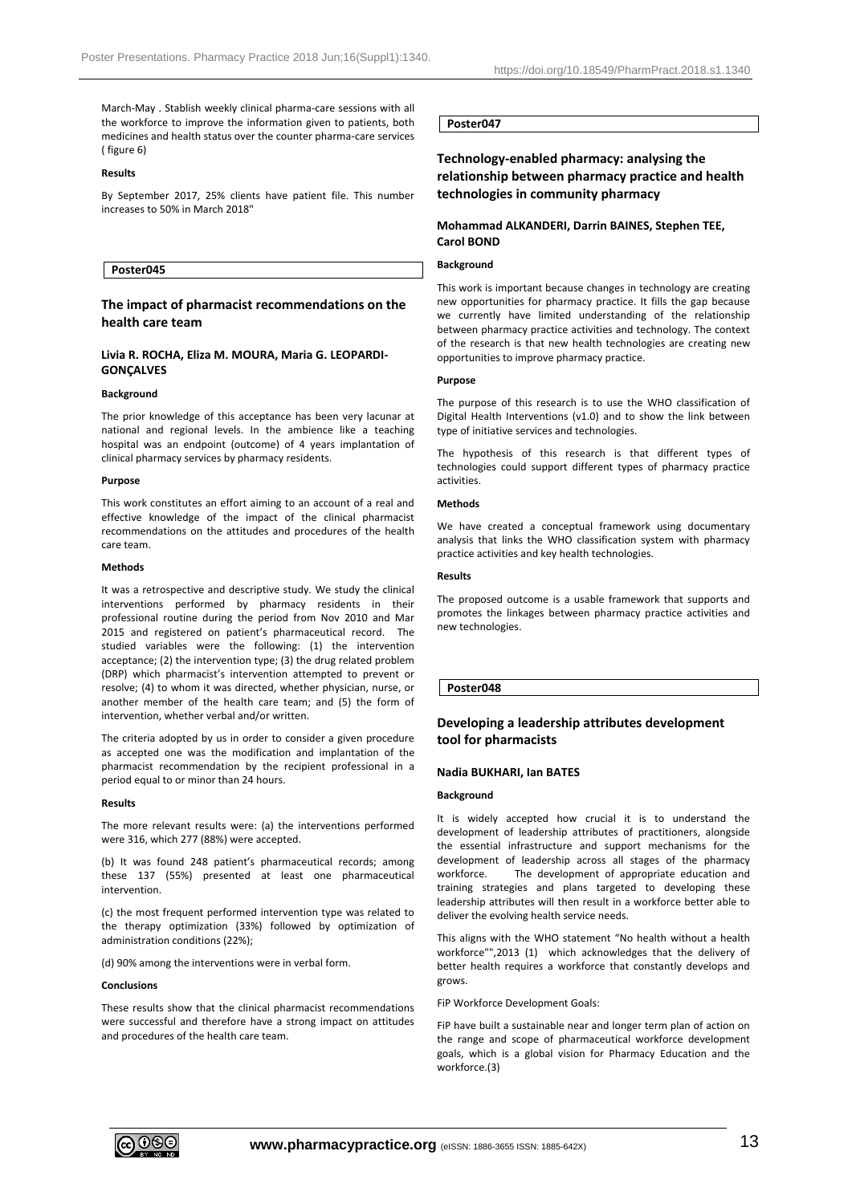March-May . Stablish weekly clinical pharma-care sessions with all the workforce to improve the information given to patients, both medicines and health status over the counter pharma-care services ( figure 6)

### **Results**

By September 2017, 25% clients have patient file. This number increases to 50% in March 2018"

## **Poster045**

# **The impact of pharmacist recommendations on the health care team**

# **Livia R. ROCHA, Eliza M. MOURA, Maria G. LEOPARDI-GONÇALVES**

## **Background**

The prior knowledge of this acceptance has been very lacunar at national and regional levels. In the ambience like a teaching hospital was an endpoint (outcome) of 4 years implantation of clinical pharmacy services by pharmacy residents.

#### **Purpose**

This work constitutes an effort aiming to an account of a real and effective knowledge of the impact of the clinical pharmacist recommendations on the attitudes and procedures of the health care team.

#### **Methods**

It was a retrospective and descriptive study. We study the clinical interventions performed by pharmacy residents in their professional routine during the period from Nov 2010 and Mar 2015 and registered on patient's pharmaceutical record. The studied variables were the following: (1) the intervention acceptance; (2) the intervention type; (3) the drug related problem (DRP) which pharmacist's intervention attempted to prevent or resolve; (4) to whom it was directed, whether physician, nurse, or another member of the health care team; and (5) the form of intervention, whether verbal and/or written.

The criteria adopted by us in order to consider a given procedure as accepted one was the modification and implantation of the pharmacist recommendation by the recipient professional in a period equal to or minor than 24 hours.

### **Results**

The more relevant results were: (a) the interventions performed were 316, which 277 (88%) were accepted.

(b) It was found 248 patient's pharmaceutical records; among these 137 (55%) presented at least one pharmaceutical intervention.

(c) the most frequent performed intervention type was related to the therapy optimization (33%) followed by optimization of administration conditions (22%);

(d) 90% among the interventions were in verbal form.

#### **Conclusions**

These results show that the clinical pharmacist recommendations were successful and therefore have a strong impact on attitudes and procedures of the health care team.

# **Poster047**

**Technology-enabled pharmacy: analysing the relationship between pharmacy practice and health technologies in community pharmacy**

# **Mohammad ALKANDERI, Darrin BAINES, Stephen TEE, Carol BOND**

# **Background**

This work is important because changes in technology are creating new opportunities for pharmacy practice. It fills the gap because we currently have limited understanding of the relationship between pharmacy practice activities and technology. The context of the research is that new health technologies are creating new opportunities to improve pharmacy practice.

## **Purpose**

The purpose of this research is to use the WHO classification of Digital Health Interventions (v1.0) and to show the link between type of initiative services and technologies.

The hypothesis of this research is that different types of technologies could support different types of pharmacy practice activities.

#### **Methods**

We have created a conceptual framework using documentary analysis that links the WHO classification system with pharmacy practice activities and key health technologies.

### **Results**

The proposed outcome is a usable framework that supports and promotes the linkages between pharmacy practice activities and new technologies.

# **Poster048**

# **Developing a leadership attributes development tool for pharmacists**

### **Nadia BUKHARI, Ian BATES**

#### **Background**

It is widely accepted how crucial it is to understand the development of leadership attributes of practitioners, alongside the essential infrastructure and support mechanisms for the development of leadership across all stages of the pharmacy workforce. The development of appropriate education and training strategies and plans targeted to developing these leadership attributes will then result in a workforce better able to deliver the evolving health service needs.

This aligns with the WHO statement "No health without a health workforce"",2013 (1) which acknowledges that the delivery of better health requires a workforce that constantly develops and grows.

#### FiP Workforce Development Goals:

FiP have built a sustainable near and longer term plan of action on the range and scope of pharmaceutical workforce development goals, which is a global vision for Pharmacy Education and the workforce.(3)

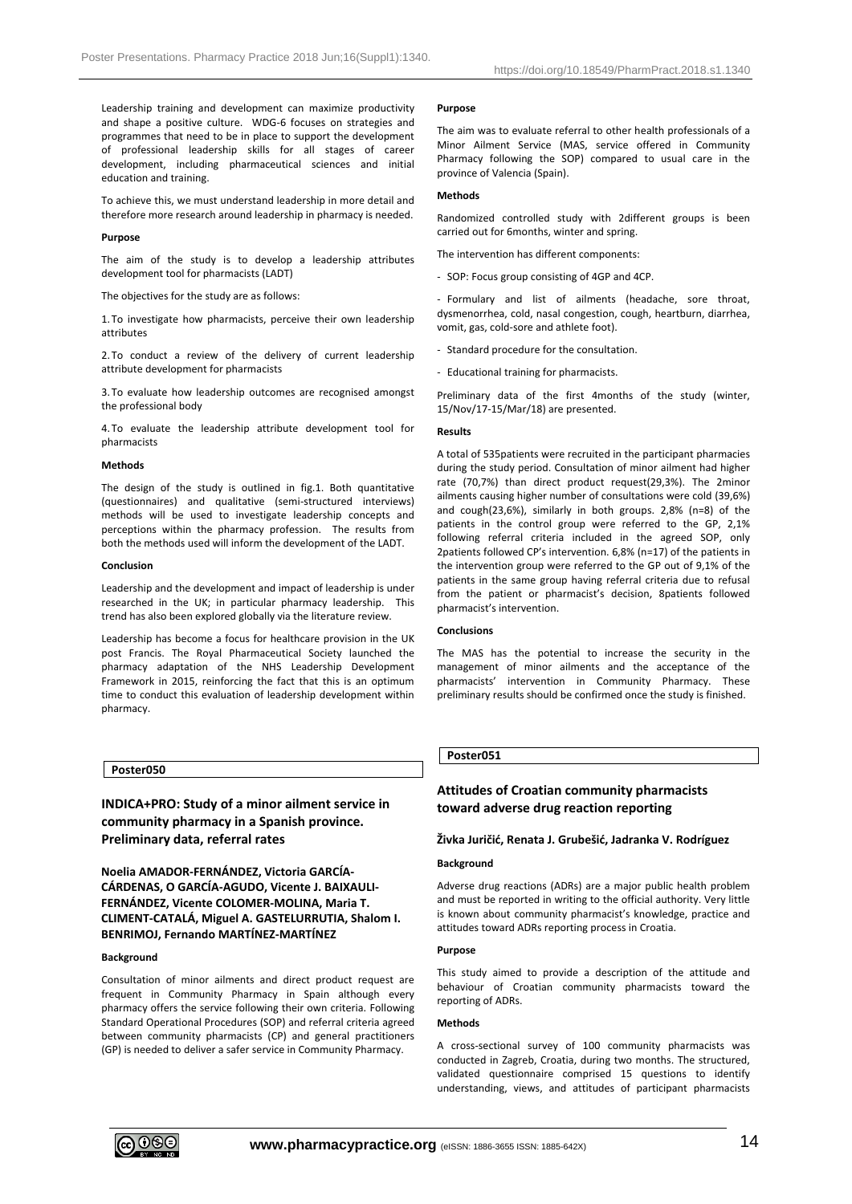Leadership training and development can maximize productivity and shape a positive culture. WDG-6 focuses on strategies and programmes that need to be in place to support the development of professional leadership skills for all stages of career development, including pharmaceutical sciences and initial education and training.

To achieve this, we must understand leadership in more detail and therefore more research around leadership in pharmacy is needed.

### **Purpose**

The aim of the study is to develop a leadership attributes development tool for pharmacists (LADT)

The objectives for the study are as follows:

1. To investigate how pharmacists, perceive their own leadership attributes

2. To conduct a review of the delivery of current leadership attribute development for pharmacists

3. To evaluate how leadership outcomes are recognised amongst the professional body

4. To evaluate the leadership attribute development tool for pharmacists

### **Methods**

The design of the study is outlined in fig.1. Both quantitative (questionnaires) and qualitative (semi-structured interviews) methods will be used to investigate leadership concepts and perceptions within the pharmacy profession. The results from both the methods used will inform the development of the LADT.

#### **Conclusion**

Leadership and the development and impact of leadership is under researched in the UK; in particular pharmacy leadership. This trend has also been explored globally via the literature review.

Leadership has become a focus for healthcare provision in the UK post Francis. The Royal Pharmaceutical Society launched the pharmacy adaptation of the NHS Leadership Development Framework in 2015, reinforcing the fact that this is an optimum time to conduct this evaluation of leadership development within pharmacy.

#### **Poster050**

**INDICA+PRO: Study of a minor ailment service in community pharmacy in a Spanish province. Preliminary data, referral rates**

**Noelia AMADOR-FERNÁNDEZ, Victoria GARCÍA-CÁRDENAS, O GARCÍA-AGUDO, Vicente J. BAIXAULI-FERNÁNDEZ, Vicente COLOMER-MOLINA, Maria T. CLIMENT-CATALÁ, Miguel A. GASTELURRUTIA, Shalom I. BENRIMOJ, Fernando MARTÍNEZ-MARTÍNEZ**

#### **Background**

Consultation of minor ailments and direct product request are frequent in Community Pharmacy in Spain although every pharmacy offers the service following their own criteria. Following Standard Operational Procedures (SOP) and referral criteria agreed between community pharmacists (CP) and general practitioners (GP) is needed to deliver a safer service in Community Pharmacy.

### **Purpose**

The aim was to evaluate referral to other health professionals of a Minor Ailment Service (MAS, service offered in Community Pharmacy following the SOP) compared to usual care in the province of Valencia (Spain).

### **Methods**

Randomized controlled study with 2different groups is been carried out for 6months, winter and spring.

The intervention has different components:

- SOP: Focus group consisting of 4GP and 4CP.

- Formulary and list of ailments (headache, sore throat, dysmenorrhea, cold, nasal congestion, cough, heartburn, diarrhea, vomit, gas, cold-sore and athlete foot).

- Standard procedure for the consultation.
- Educational training for pharmacists.

Preliminary data of the first 4months of the study (winter, 15/Nov/17-15/Mar/18) are presented.

### **Results**

A total of 535patients were recruited in the participant pharmacies during the study period. Consultation of minor ailment had higher rate (70,7%) than direct product request(29,3%). The 2minor ailments causing higher number of consultations were cold (39,6%) and cough(23,6%), similarly in both groups. 2,8% (n=8) of the patients in the control group were referred to the GP, 2,1% following referral criteria included in the agreed SOP, only 2patients followed CP's intervention. 6,8% (n=17) of the patients in the intervention group were referred to the GP out of 9,1% of the patients in the same group having referral criteria due to refusal from the patient or pharmacist's decision, 8patients followed pharmacist's intervention.

### **Conclusions**

The MAS has the potential to increase the security in the management of minor ailments and the acceptance of the pharmacists' intervention in Community Pharmacy. These preliminary results should be confirmed once the study is finished.

# **Poster051**

# **Attitudes of Croatian community pharmacists toward adverse drug reaction reporting**

### **Živka Juričić, Renata J. Grubešić, Jadranka V. Rodríguez**

# **Background**

Adverse drug reactions (ADRs) are a major public health problem and must be reported in writing to the official authority. Very little is known about community pharmacist's knowledge, practice and attitudes toward ADRs reporting process in Croatia.

# **Purpose**

This study aimed to provide a description of the attitude and behaviour of Croatian community pharmacists toward the reporting of ADRs.

# **Methods**

A cross-sectional survey of 100 community pharmacists was conducted in Zagreb, Croatia, during two months. The structured, validated questionnaire comprised 15 questions to identify understanding, views, and attitudes of participant pharmacists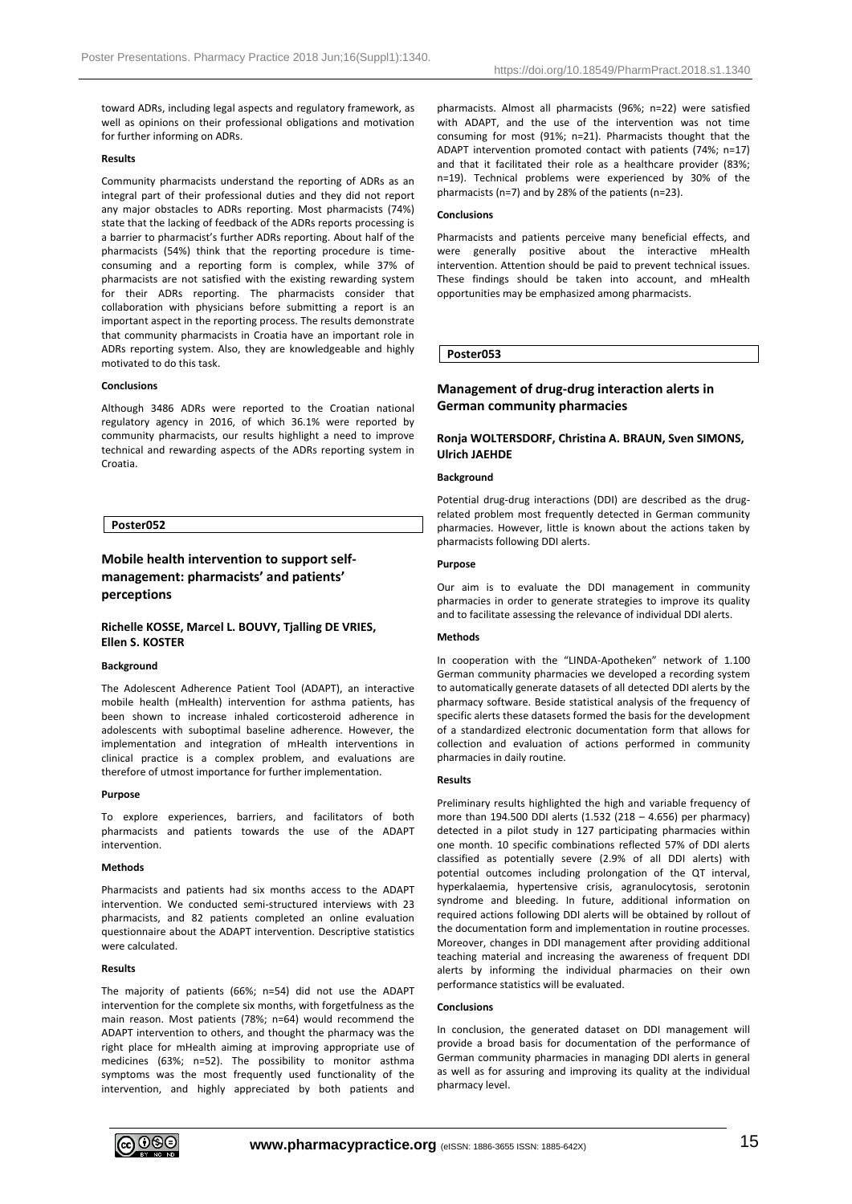toward ADRs, including legal aspects and regulatory framework, as well as opinions on their professional obligations and motivation for further informing on ADRs.

### **Results**

Community pharmacists understand the reporting of ADRs as an integral part of their professional duties and they did not report any major obstacles to ADRs reporting. Most pharmacists (74%) state that the lacking of feedback of the ADRs reports processing is a barrier to pharmacist's further ADRs reporting. About half of the pharmacists (54%) think that the reporting procedure is timeconsuming and a reporting form is complex, while 37% of pharmacists are not satisfied with the existing rewarding system for their ADRs reporting. The pharmacists consider that collaboration with physicians before submitting a report is an important aspect in the reporting process. The results demonstrate that community pharmacists in Croatia have an important role in ADRs reporting system. Also, they are knowledgeable and highly motivated to do this task.

### **Conclusions**

Although 3486 ADRs were reported to the Croatian national regulatory agency in 2016, of which 36.1% were reported by community pharmacists, our results highlight a need to improve technical and rewarding aspects of the ADRs reporting system in Croatia.

# **Poster052**

# **Mobile health intervention to support selfmanagement: pharmacists' and patients' perceptions**

# **Richelle KOSSE, Marcel L. BOUVY, Tjalling DE VRIES, Ellen S. KOSTER**

## **Background**

The Adolescent Adherence Patient Tool (ADAPT), an interactive mobile health (mHealth) intervention for asthma patients, has been shown to increase inhaled corticosteroid adherence in adolescents with suboptimal baseline adherence. However, the implementation and integration of mHealth interventions in clinical practice is a complex problem, and evaluations are therefore of utmost importance for further implementation.

### **Purpose**

To explore experiences, barriers, and facilitators of both pharmacists and patients towards the use of the ADAPT intervention.

# **Methods**

Pharmacists and patients had six months access to the ADAPT intervention. We conducted semi-structured interviews with 23 pharmacists, and 82 patients completed an online evaluation questionnaire about the ADAPT intervention. Descriptive statistics were calculated.

## **Results**

The majority of patients (66%; n=54) did not use the ADAPT intervention for the complete six months, with forgetfulness as the main reason. Most patients (78%; n=64) would recommend the ADAPT intervention to others, and thought the pharmacy was the right place for mHealth aiming at improving appropriate use of medicines (63%; n=52). The possibility to monitor asthma symptoms was the most frequently used functionality of the intervention, and highly appreciated by both patients and pharmacists. Almost all pharmacists (96%; n=22) were satisfied with ADAPT, and the use of the intervention was not time consuming for most (91%; n=21). Pharmacists thought that the ADAPT intervention promoted contact with patients (74%; n=17) and that it facilitated their role as a healthcare provider (83%; n=19). Technical problems were experienced by 30% of the pharmacists (n=7) and by 28% of the patients (n=23).

### **Conclusions**

Pharmacists and patients perceive many beneficial effects, and were generally positive about the interactive mHealth intervention. Attention should be paid to prevent technical issues. These findings should be taken into account, and mHealth opportunities may be emphasized among pharmacists.

**Poster053**

# **Management of drug-drug interaction alerts in German community pharmacies**

# **Ronja WOLTERSDORF, Christina A. BRAUN, Sven SIMONS, Ulrich JAEHDE**

# **Background**

Potential drug-drug interactions (DDI) are described as the drugrelated problem most frequently detected in German community pharmacies. However, little is known about the actions taken by pharmacists following DDI alerts.

### **Purpose**

Our aim is to evaluate the DDI management in community pharmacies in order to generate strategies to improve its quality and to facilitate assessing the relevance of individual DDI alerts.

# **Methods**

In cooperation with the "LINDA-Apotheken" network of 1.100 German community pharmacies we developed a recording system to automatically generate datasets of all detected DDI alerts by the pharmacy software. Beside statistical analysis of the frequency of specific alerts these datasets formed the basis for the development of a standardized electronic documentation form that allows for collection and evaluation of actions performed in community pharmacies in daily routine.

# **Results**

Preliminary results highlighted the high and variable frequency of more than 194.500 DDI alerts (1.532 (218 – 4.656) per pharmacy) detected in a pilot study in 127 participating pharmacies within one month. 10 specific combinations reflected 57% of DDI alerts classified as potentially severe (2.9% of all DDI alerts) with potential outcomes including prolongation of the QT interval, hyperkalaemia, hypertensive crisis, agranulocytosis, serotonin syndrome and bleeding. In future, additional information on required actions following DDI alerts will be obtained by rollout of the documentation form and implementation in routine processes. Moreover, changes in DDI management after providing additional teaching material and increasing the awareness of frequent DDI alerts by informing the individual pharmacies on their own performance statistics will be evaluated.

# **Conclusions**

In conclusion, the generated dataset on DDI management will provide a broad basis for documentation of the performance of German community pharmacies in managing DDI alerts in general as well as for assuring and improving its quality at the individual pharmacy level.

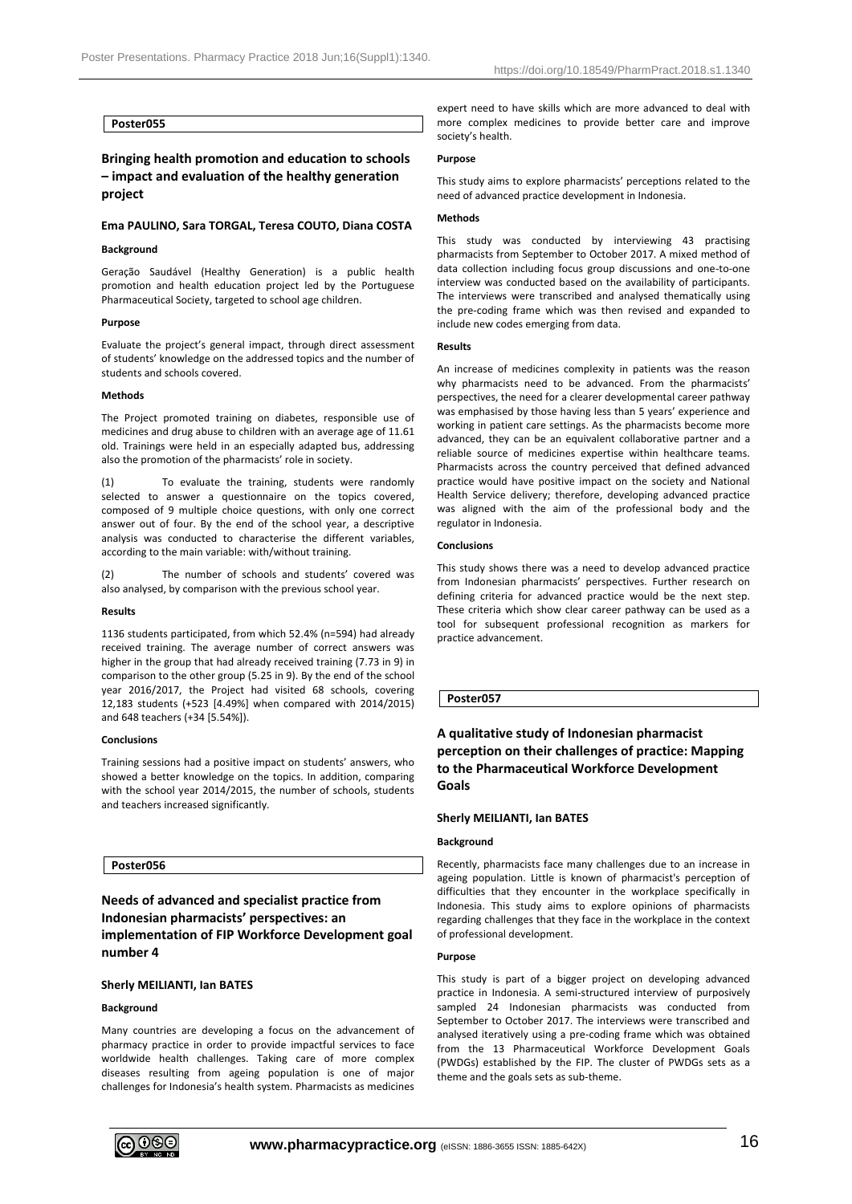# **Poster055**

# **Bringing health promotion and education to schools – impact and evaluation of the healthy generation project**

# **Ema PAULINO, Sara TORGAL, Teresa COUTO, Diana COSTA**

## **Background**

Geração Saudável (Healthy Generation) is a public health promotion and health education project led by the Portuguese Pharmaceutical Society, targeted to school age children.

#### **Purpose**

Evaluate the project's general impact, through direct assessment of students' knowledge on the addressed topics and the number of students and schools covered.

#### **Methods**

The Project promoted training on diabetes, responsible use of medicines and drug abuse to children with an average age of 11.61 old. Trainings were held in an especially adapted bus, addressing also the promotion of the pharmacists' role in society.

(1) To evaluate the training, students were randomly selected to answer a questionnaire on the topics covered, composed of 9 multiple choice questions, with only one correct answer out of four. By the end of the school year, a descriptive analysis was conducted to characterise the different variables, according to the main variable: with/without training.

(2) The number of schools and students' covered was also analysed, by comparison with the previous school year.

### **Results**

1136 students participated, from which 52.4% (n=594) had already received training. The average number of correct answers was higher in the group that had already received training (7.73 in 9) in comparison to the other group (5.25 in 9). By the end of the school year 2016/2017, the Project had visited 68 schools, covering 12,183 students (+523 [4.49%] when compared with 2014/2015) and 648 teachers (+34 [5.54%]).

### **Conclusions**

Training sessions had a positive impact on students' answers, who showed a better knowledge on the topics. In addition, comparing with the school year 2014/2015, the number of schools, students and teachers increased significantly.

# **Poster056**

# **Needs of advanced and specialist practice from Indonesian pharmacists' perspectives: an implementation of FIP Workforce Development goal number 4**

# **Sherly MEILIANTI, Ian BATES**

### **Background**

Many countries are developing a focus on the advancement of pharmacy practice in order to provide impactful services to face worldwide health challenges. Taking care of more complex diseases resulting from ageing population is one of major challenges for Indonesia's health system. Pharmacists as medicines expert need to have skills which are more advanced to deal with more complex medicines to provide better care and improve society's health.

#### **Purpose**

This study aims to explore pharmacists' perceptions related to the need of advanced practice development in Indonesia.

## **Methods**

This study was conducted by interviewing 43 practising pharmacists from September to October 2017. A mixed method of data collection including focus group discussions and one-to-one interview was conducted based on the availability of participants. The interviews were transcribed and analysed thematically using the pre-coding frame which was then revised and expanded to include new codes emerging from data.

#### **Results**

An increase of medicines complexity in patients was the reason why pharmacists need to be advanced. From the pharmacists' perspectives, the need for a clearer developmental career pathway was emphasised by those having less than 5 years' experience and working in patient care settings. As the pharmacists become more advanced, they can be an equivalent collaborative partner and a reliable source of medicines expertise within healthcare teams. Pharmacists across the country perceived that defined advanced practice would have positive impact on the society and National Health Service delivery; therefore, developing advanced practice was aligned with the aim of the professional body and the regulator in Indonesia.

### **Conclusions**

This study shows there was a need to develop advanced practice from Indonesian pharmacists' perspectives. Further research on defining criteria for advanced practice would be the next step. These criteria which show clear career pathway can be used as a tool for subsequent professional recognition as markers for practice advancement.

### **Poster057**

**A qualitative study of Indonesian pharmacist perception on their challenges of practice: Mapping to the Pharmaceutical Workforce Development Goals**

### **Sherly MEILIANTI, Ian BATES**

### **Background**

Recently, pharmacists face many challenges due to an increase in ageing population. Little is known of pharmacist's perception of difficulties that they encounter in the workplace specifically in Indonesia. This study aims to explore opinions of pharmacists regarding challenges that they face in the workplace in the context of professional development.

#### **Purpose**

This study is part of a bigger project on developing advanced practice in Indonesia. A semi-structured interview of purposively sampled 24 Indonesian pharmacists was conducted from September to October 2017. The interviews were transcribed and analysed iteratively using a pre-coding frame which was obtained from the 13 Pharmaceutical Workforce Development Goals (PWDGs) established by the FIP. The cluster of PWDGs sets as a theme and the goals sets as sub-theme.

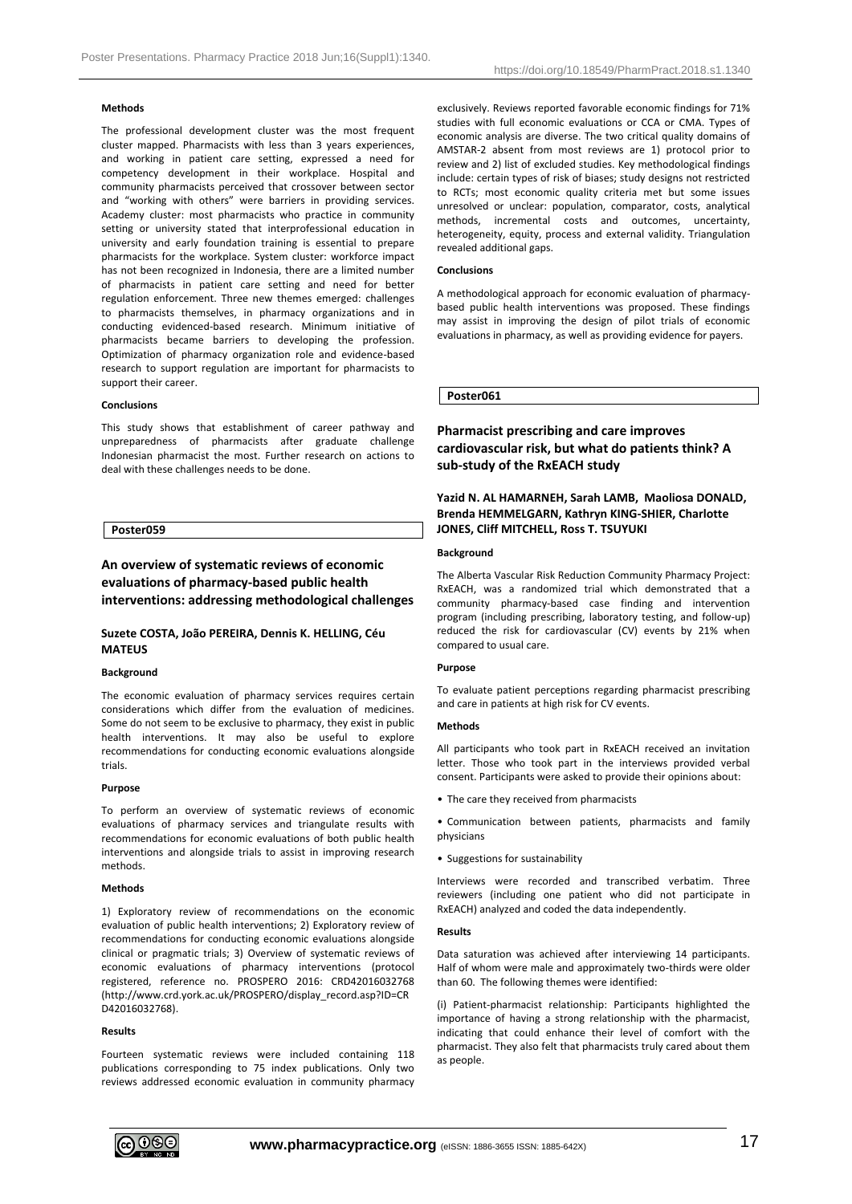# **Methods**

The professional development cluster was the most frequent cluster mapped. Pharmacists with less than 3 years experiences, and working in patient care setting, expressed a need for competency development in their workplace. Hospital and community pharmacists perceived that crossover between sector and "working with others" were barriers in providing services. Academy cluster: most pharmacists who practice in community setting or university stated that interprofessional education in university and early foundation training is essential to prepare pharmacists for the workplace. System cluster: workforce impact has not been recognized in Indonesia, there are a limited number of pharmacists in patient care setting and need for better regulation enforcement. Three new themes emerged: challenges to pharmacists themselves, in pharmacy organizations and in conducting evidenced-based research. Minimum initiative of pharmacists became barriers to developing the profession. Optimization of pharmacy organization role and evidence-based research to support regulation are important for pharmacists to support their career.

### **Conclusions**

This study shows that establishment of career pathway and unpreparedness of pharmacists after graduate challenge Indonesian pharmacist the most. Further research on actions to deal with these challenges needs to be done.

# **Poster059**

# **An overview of systematic reviews of economic evaluations of pharmacy-based public health interventions: addressing methodological challenges**

# **Suzete COSTA, João PEREIRA, Dennis K. HELLING, Céu MATEUS**

### **Background**

The economic evaluation of pharmacy services requires certain considerations which differ from the evaluation of medicines. Some do not seem to be exclusive to pharmacy, they exist in public health interventions. It may also be useful to explore recommendations for conducting economic evaluations alongside trials.

## **Purpose**

To perform an overview of systematic reviews of economic evaluations of pharmacy services and triangulate results with recommendations for economic evaluations of both public health interventions and alongside trials to assist in improving research methods.

### **Methods**

1) Exploratory review of recommendations on the economic evaluation of public health interventions; 2) Exploratory review of recommendations for conducting economic evaluations alongside clinical or pragmatic trials; 3) Overview of systematic reviews of economic evaluations of pharmacy interventions (protocol registered, reference no. PROSPERO 2016: CRD42016032768 (http://www.crd.york.ac.uk/PROSPERO/display\_record.asp?ID=CR D42016032768).

# **Results**

Fourteen systematic reviews were included containing 118 publications corresponding to 75 index publications. Only two reviews addressed economic evaluation in community pharmacy exclusively. Reviews reported favorable economic findings for 71% studies with full economic evaluations or CCA or CMA. Types of economic analysis are diverse. The two critical quality domains of AMSTAR-2 absent from most reviews are 1) protocol prior to review and 2) list of excluded studies. Key methodological findings include: certain types of risk of biases; study designs not restricted to RCTs; most economic quality criteria met but some issues unresolved or unclear: population, comparator, costs, analytical methods, incremental costs and outcomes, uncertainty, heterogeneity, equity, process and external validity. Triangulation revealed additional gaps.

### **Conclusions**

A methodological approach for economic evaluation of pharmacybased public health interventions was proposed. These findings may assist in improving the design of pilot trials of economic evaluations in pharmacy, as well as providing evidence for payers.

### **Poster061**

# **Pharmacist prescribing and care improves cardiovascular risk, but what do patients think? A sub-study of the RxEACH study**

# **Yazid N. AL HAMARNEH, Sarah LAMB, Maoliosa DONALD, Brenda HEMMELGARN, Kathryn KING-SHIER, Charlotte JONES, Cliff MITCHELL, Ross T. TSUYUKI**

# **Background**

The Alberta Vascular Risk Reduction Community Pharmacy Project: RxEACH, was a randomized trial which demonstrated that a community pharmacy-based case finding and intervention program (including prescribing, laboratory testing, and follow-up) reduced the risk for cardiovascular (CV) events by 21% when compared to usual care.

# **Purpose**

To evaluate patient perceptions regarding pharmacist prescribing and care in patients at high risk for CV events.

## **Methods**

All participants who took part in RxEACH received an invitation letter. Those who took part in the interviews provided verbal consent. Participants were asked to provide their opinions about:

• The care they received from pharmacists

• Communication between patients, pharmacists and family physicians

• Suggestions for sustainability

Interviews were recorded and transcribed verbatim. Three reviewers (including one patient who did not participate in RxEACH) analyzed and coded the data independently.

# **Results**

Data saturation was achieved after interviewing 14 participants. Half of whom were male and approximately two-thirds were older than 60. The following themes were identified:

(i) Patient-pharmacist relationship: Participants highlighted the importance of having a strong relationship with the pharmacist, indicating that could enhance their level of comfort with the pharmacist. They also felt that pharmacists truly cared about them as people.